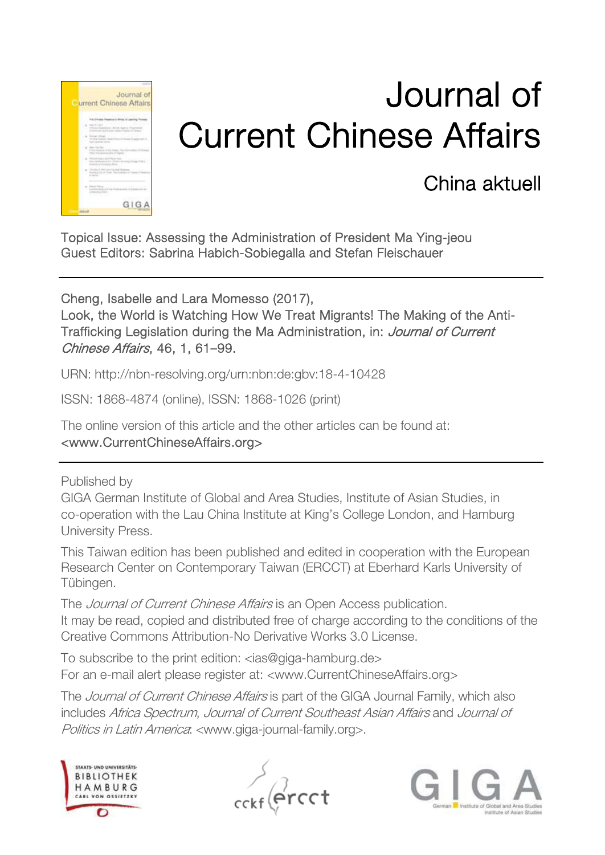

# Journal of Current Chinese Affairs

China aktuell

Topical Issue: Assessing the Administration of President Ma Ying-jeou Guest Editors: Sabrina Habich-Sobiegalla and Stefan Fleischauer

Cheng, Isabelle and Lara Momesso (2017), Look, the World is Watching How We Treat Migrants! The Making of the Anti-Trafficking Legislation during the Ma Administration, in: Journal of Current Chinese Affairs, 46, 1, 61–99.

URN: http://nbn-resolving.org/urn:nbn:de:gbv:18-4-10428

ISSN: 1868-4874 (online), ISSN: 1868-1026 (print)

The online version of this article and the other articles can be found at:

#### <www.CurrentChineseAffairs.org>

Published by

GIGA German Institute of Global and Area Studies, Institute of Asian Studies, in co-operation with the Lau China Institute at King's College London, and Hamburg University Press.

This Taiwan edition has been published and edited in cooperation with the European Research Center on Contemporary Taiwan (ERCCT) at Eberhard Karls University of Tübingen.

The *Journal of Current Chinese Affairs* is an Open Access publication. It may be read, copied and distributed free of charge according to the conditions of the Creative Commons Attribution-No Derivative Works 3.0 License.

To subscribe to the print edition: <ias@giga-hamburg.de> For an e-mail alert please register at: <www.CurrentChineseAffairs.org>

The *Journal of Current Chinese Affairs* is part of the GIGA Journal Family, which also includes Africa Spectrum, Journal of Current Southeast Asian Affairs and Journal of Politics in Latin America: <www.giga-journal-family.org>.





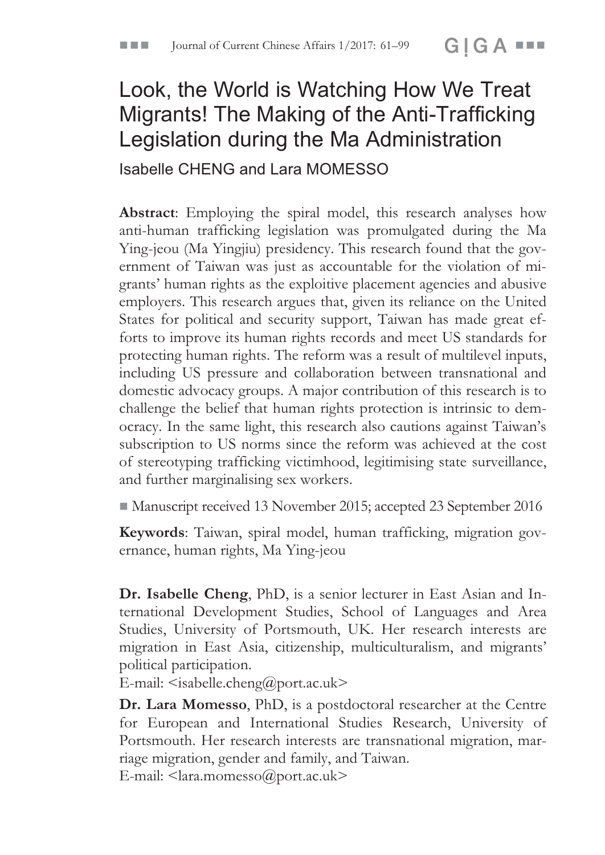# Look, the World is Watching How We Treat Migrants! The Making of the Anti-Trafficking Legislation during the Ma Administration

Isabelle CHENG and Lara MOMESSO

**Abstract**: Employing the spiral model, this research analyses how anti-human trafficking legislation was promulgated during the Ma Ying-jeou (Ma Yingjiu) presidency. This research found that the government of Taiwan was just as accountable for the violation of migrants' human rights as the exploitive placement agencies and abusive employers. This research argues that, given its reliance on the United States for political and security support, Taiwan has made great efforts to improve its human rights records and meet US standards for protecting human rights. The reform was a result of multilevel inputs, including US pressure and collaboration between transnational and domestic advocacy groups. A major contribution of this research is to challenge the belief that human rights protection is intrinsic to democracy. In the same light, this research also cautions against Taiwan's subscription to US norms since the reform was achieved at the cost of stereotyping trafficking victimhood, legitimising state surveillance, and further marginalising sex workers.

- Manuscript received 13 November 2015; accepted 23 September 2016

**Keywords**: Taiwan, spiral model, human trafficking, migration governance, human rights, Ma Ying-jeou

**Dr. Isabelle Cheng**, PhD, is a senior lecturer in East Asian and International Development Studies, School of Languages and Area Studies, University of Portsmouth, UK. Her research interests are migration in East Asia, citizenship, multiculturalism, and migrants' political participation.

E-mail: <isabelle.cheng@port.ac.uk>

**Dr. Lara Momesso**, PhD, is a postdoctoral researcher at the Centre for European and International Studies Research, University of Portsmouth. Her research interests are transnational migration, marriage migration, gender and family, and Taiwan. E-mail: <lara.momesso@port.ac.uk>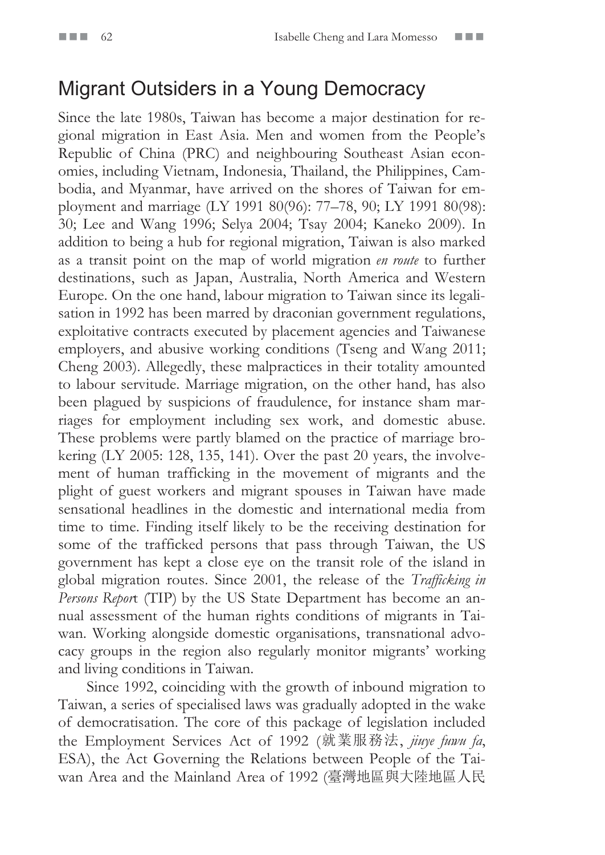# Migrant Outsiders in a Young Democracy

Since the late 1980s, Taiwan has become a major destination for regional migration in East Asia. Men and women from the People's Republic of China (PRC) and neighbouring Southeast Asian economies, including Vietnam, Indonesia, Thailand, the Philippines, Cambodia, and Myanmar, have arrived on the shores of Taiwan for employment and marriage (LY 1991 80(96): 77–78, 90; LY 1991 80(98): 30; Lee and Wang 1996; Selya 2004; Tsay 2004; Kaneko 2009). In addition to being a hub for regional migration, Taiwan is also marked as a transit point on the map of world migration *en route* to further destinations, such as Japan, Australia, North America and Western Europe. On the one hand, labour migration to Taiwan since its legalisation in 1992 has been marred by draconian government regulations, exploitative contracts executed by placement agencies and Taiwanese employers, and abusive working conditions (Tseng and Wang 2011; Cheng 2003). Allegedly, these malpractices in their totality amounted to labour servitude. Marriage migration, on the other hand, has also been plagued by suspicions of fraudulence, for instance sham marriages for employment including sex work, and domestic abuse. These problems were partly blamed on the practice of marriage brokering (LY 2005: 128, 135, 141). Over the past 20 years, the involvement of human trafficking in the movement of migrants and the plight of guest workers and migrant spouses in Taiwan have made sensational headlines in the domestic and international media from time to time. Finding itself likely to be the receiving destination for some of the trafficked persons that pass through Taiwan, the US government has kept a close eye on the transit role of the island in global migration routes. Since 2001, the release of the *Trafficking in Persons Repor*t (TIP) by the US State Department has become an annual assessment of the human rights conditions of migrants in Taiwan. Working alongside domestic organisations, transnational advocacy groups in the region also regularly monitor migrants' working and living conditions in Taiwan.

Since 1992, coinciding with the growth of inbound migration to Taiwan, a series of specialised laws was gradually adopted in the wake of democratisation. The core of this package of legislation included the Employment Services Act of 1992 (就業服務法, *jiuye fuwu fa*, ESA), the Act Governing the Relations between People of the Taiwan Area and the Mainland Area of 1992 (臺灣地區與大陸地區人民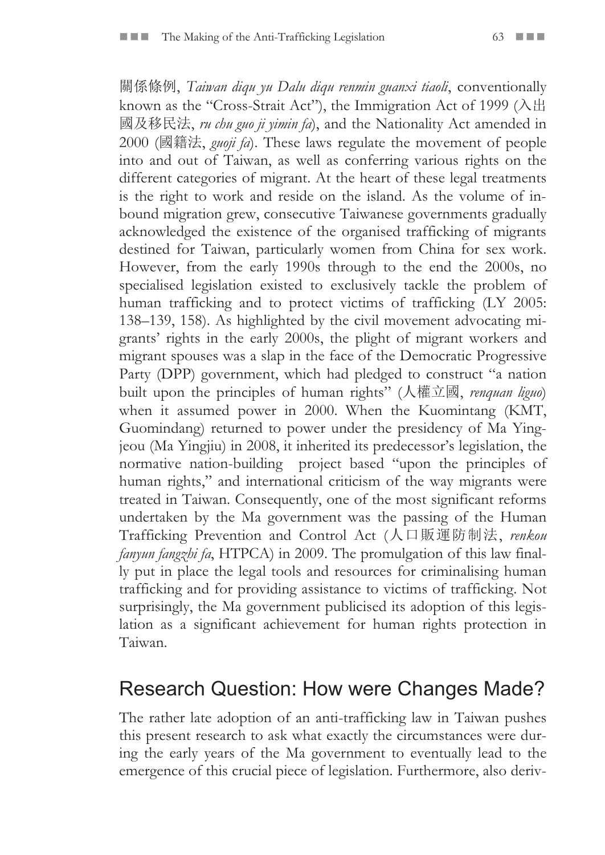䰌ײọֻ, *Taiwan diqu yu Dalu diqu renmin guanxi tiaoli*, conventionally known as the "Cross-Strait Act"), the Immigration Act of 1999 ( $\lambda$  H 國及移民法, *ru chu guo ji yimin fa*), and the Nationality Act amended in 2000 (國籍法, *guoji fa*). These laws regulate the movement of people into and out of Taiwan, as well as conferring various rights on the different categories of migrant. At the heart of these legal treatments is the right to work and reside on the island. As the volume of inbound migration grew, consecutive Taiwanese governments gradually acknowledged the existence of the organised trafficking of migrants destined for Taiwan, particularly women from China for sex work. However, from the early 1990s through to the end the 2000s, no specialised legislation existed to exclusively tackle the problem of human trafficking and to protect victims of trafficking (LY 2005: 138–139, 158). As highlighted by the civil movement advocating migrants' rights in the early 2000s, the plight of migrant workers and migrant spouses was a slap in the face of the Democratic Progressive Party (DPP) government, which had pledged to construct "a nation built upon the principles of human rights" (人權立國, *renquan liguo*) when it assumed power in 2000. When the Kuomintang (KMT, Guomindang) returned to power under the presidency of Ma Yingjeou (Ma Yingjiu) in 2008, it inherited its predecessor's legislation, the normative nation-building project based "upon the principles of human rights," and international criticism of the way migrants were treated in Taiwan. Consequently, one of the most significant reforms undertaken by the Ma government was the passing of the Human Trafficking Prevention and Control Act (人口販運防制法, *renkou fanyun fangzhi fa*, HTPCA) in 2009. The promulgation of this law finally put in place the legal tools and resources for criminalising human trafficking and for providing assistance to victims of trafficking. Not surprisingly, the Ma government publicised its adoption of this legislation as a significant achievement for human rights protection in Taiwan.

# Research Question: How were Changes Made?

The rather late adoption of an anti-trafficking law in Taiwan pushes this present research to ask what exactly the circumstances were during the early years of the Ma government to eventually lead to the emergence of this crucial piece of legislation. Furthermore, also deriv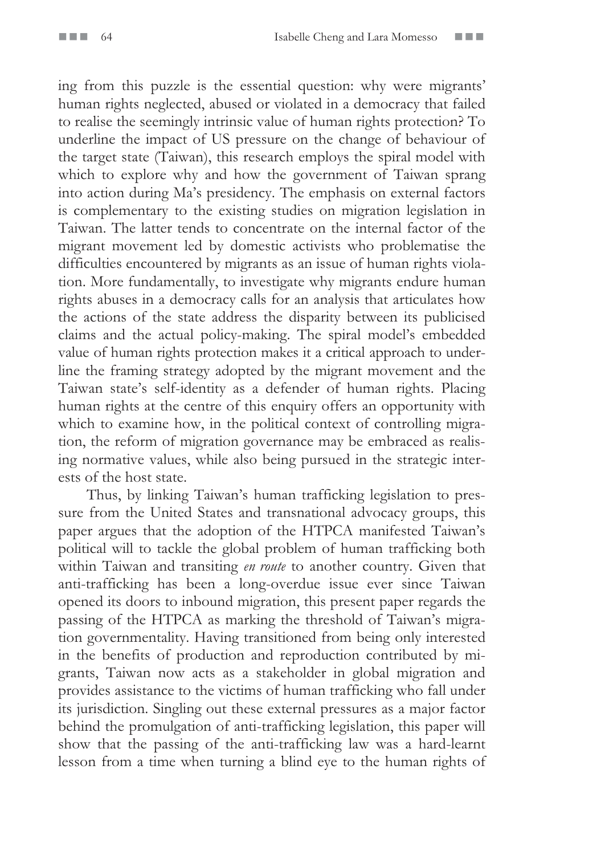ing from this puzzle is the essential question: why were migrants' human rights neglected, abused or violated in a democracy that failed to realise the seemingly intrinsic value of human rights protection? To underline the impact of US pressure on the change of behaviour of the target state (Taiwan), this research employs the spiral model with which to explore why and how the government of Taiwan sprang into action during Ma's presidency. The emphasis on external factors is complementary to the existing studies on migration legislation in Taiwan. The latter tends to concentrate on the internal factor of the migrant movement led by domestic activists who problematise the difficulties encountered by migrants as an issue of human rights violation. More fundamentally, to investigate why migrants endure human rights abuses in a democracy calls for an analysis that articulates how the actions of the state address the disparity between its publicised claims and the actual policy-making. The spiral model's embedded value of human rights protection makes it a critical approach to underline the framing strategy adopted by the migrant movement and the Taiwan state's self-identity as a defender of human rights. Placing human rights at the centre of this enquiry offers an opportunity with which to examine how, in the political context of controlling migration, the reform of migration governance may be embraced as realising normative values, while also being pursued in the strategic interests of the host state.

Thus, by linking Taiwan's human trafficking legislation to pressure from the United States and transnational advocacy groups, this paper argues that the adoption of the HTPCA manifested Taiwan's political will to tackle the global problem of human trafficking both within Taiwan and transiting *en route* to another country. Given that anti-trafficking has been a long-overdue issue ever since Taiwan opened its doors to inbound migration, this present paper regards the passing of the HTPCA as marking the threshold of Taiwan's migration governmentality. Having transitioned from being only interested in the benefits of production and reproduction contributed by migrants, Taiwan now acts as a stakeholder in global migration and provides assistance to the victims of human trafficking who fall under its jurisdiction. Singling out these external pressures as a major factor behind the promulgation of anti-trafficking legislation, this paper will show that the passing of the anti-trafficking law was a hard-learnt lesson from a time when turning a blind eye to the human rights of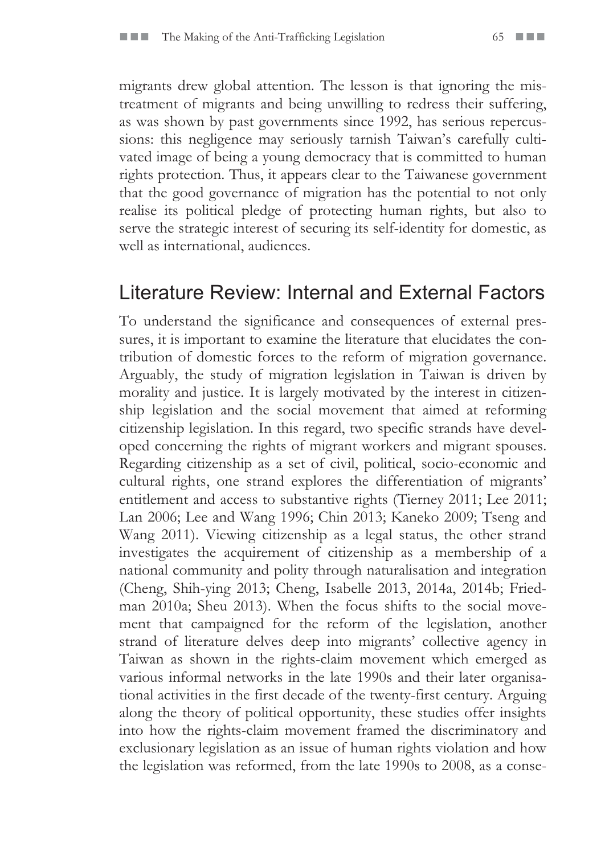migrants drew global attention. The lesson is that ignoring the mistreatment of migrants and being unwilling to redress their suffering, as was shown by past governments since 1992, has serious repercussions: this negligence may seriously tarnish Taiwan's carefully cultivated image of being a young democracy that is committed to human rights protection. Thus, it appears clear to the Taiwanese government that the good governance of migration has the potential to not only realise its political pledge of protecting human rights, but also to serve the strategic interest of securing its self-identity for domestic, as well as international, audiences.

## Literature Review: Internal and External Factors

To understand the significance and consequences of external pressures, it is important to examine the literature that elucidates the contribution of domestic forces to the reform of migration governance. Arguably, the study of migration legislation in Taiwan is driven by morality and justice. It is largely motivated by the interest in citizenship legislation and the social movement that aimed at reforming citizenship legislation. In this regard, two specific strands have developed concerning the rights of migrant workers and migrant spouses. Regarding citizenship as a set of civil, political, socio-economic and cultural rights, one strand explores the differentiation of migrants' entitlement and access to substantive rights (Tierney 2011; Lee 2011; Lan 2006; Lee and Wang 1996; Chin 2013; Kaneko 2009; Tseng and Wang 2011). Viewing citizenship as a legal status, the other strand investigates the acquirement of citizenship as a membership of a national community and polity through naturalisation and integration (Cheng, Shih-ying 2013; Cheng, Isabelle 2013, 2014a, 2014b; Friedman 2010a; Sheu 2013). When the focus shifts to the social movement that campaigned for the reform of the legislation, another strand of literature delves deep into migrants' collective agency in Taiwan as shown in the rights-claim movement which emerged as various informal networks in the late 1990s and their later organisational activities in the first decade of the twenty-first century. Arguing along the theory of political opportunity, these studies offer insights into how the rights-claim movement framed the discriminatory and exclusionary legislation as an issue of human rights violation and how the legislation was reformed, from the late 1990s to 2008, as a conse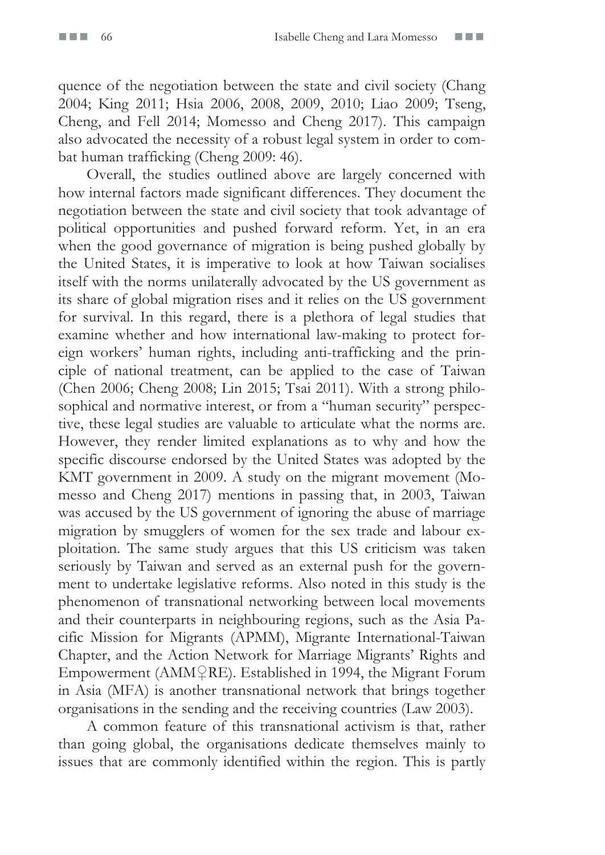---

quence of the negotiation between the state and civil society (Chang 2004; King 2011; Hsia 2006, 2008, 2009, 2010; Liao 2009; Tseng, Cheng, and Fell 2014; Momesso and Cheng 2017). This campaign also advocated the necessity of a robust legal system in order to combat human trafficking (Cheng 2009: 46).

Overall, the studies outlined above are largely concerned with how internal factors made significant differences. They document the negotiation between the state and civil society that took advantage of political opportunities and pushed forward reform. Yet, in an era when the good governance of migration is being pushed globally by the United States, it is imperative to look at how Taiwan socialises itself with the norms unilaterally advocated by the US government as its share of global migration rises and it relies on the US government for survival. In this regard, there is a plethora of legal studies that examine whether and how international law-making to protect foreign workers' human rights, including anti-trafficking and the principle of national treatment, can be applied to the case of Taiwan (Chen 2006; Cheng 2008; Lin 2015; Tsai 2011). With a strong philosophical and normative interest, or from a "human security" perspective, these legal studies are valuable to articulate what the norms are. However, they render limited explanations as to why and how the specific discourse endorsed by the United States was adopted by the KMT government in 2009. A study on the migrant movement (Momesso and Cheng 2017) mentions in passing that, in 2003, Taiwan was accused by the US government of ignoring the abuse of marriage migration by smugglers of women for the sex trade and labour exploitation. The same study argues that this US criticism was taken seriously by Taiwan and served as an external push for the government to undertake legislative reforms. Also noted in this study is the phenomenon of transnational networking between local movements and their counterparts in neighbouring regions, such as the Asia Pacific Mission for Migrants (APMM), Migrante International-Taiwan Chapter, and the Action Network for Marriage Migrants' Rights and Empowerment (AMM<sup>Q</sup>RE). Established in 1994, the Migrant Forum in Asia (MFA) is another transnational network that brings together organisations in the sending and the receiving countries (Law 2003).

A common feature of this transnational activism is that, rather than going global, the organisations dedicate themselves mainly to issues that are commonly identified within the region. This is partly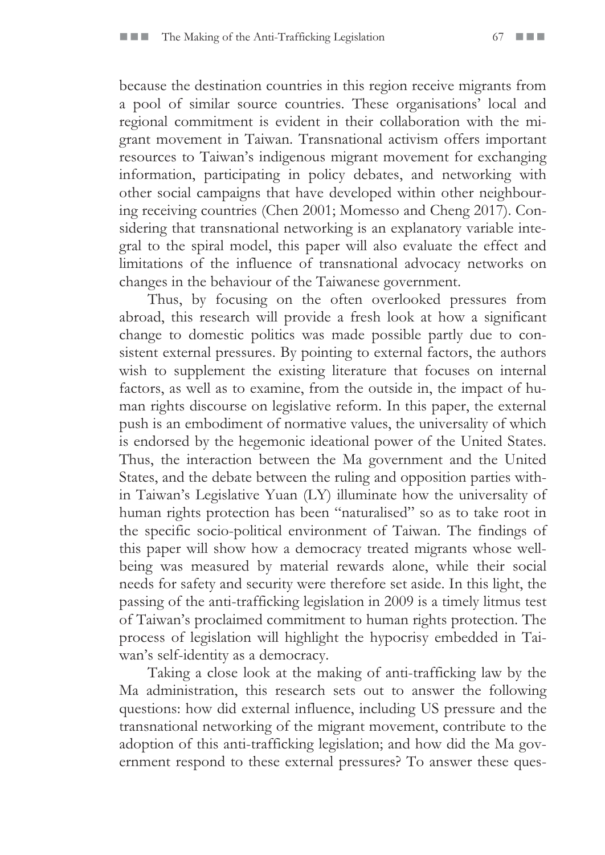--

because the destination countries in this region receive migrants from a pool of similar source countries. These organisations' local and regional commitment is evident in their collaboration with the migrant movement in Taiwan. Transnational activism offers important resources to Taiwan's indigenous migrant movement for exchanging information, participating in policy debates, and networking with other social campaigns that have developed within other neighbouring receiving countries (Chen 2001; Momesso and Cheng 2017). Considering that transnational networking is an explanatory variable integral to the spiral model, this paper will also evaluate the effect and limitations of the influence of transnational advocacy networks on changes in the behaviour of the Taiwanese government.

Thus, by focusing on the often overlooked pressures from abroad, this research will provide a fresh look at how a significant change to domestic politics was made possible partly due to consistent external pressures. By pointing to external factors, the authors wish to supplement the existing literature that focuses on internal factors, as well as to examine, from the outside in, the impact of human rights discourse on legislative reform. In this paper, the external push is an embodiment of normative values, the universality of which is endorsed by the hegemonic ideational power of the United States. Thus, the interaction between the Ma government and the United States, and the debate between the ruling and opposition parties within Taiwan's Legislative Yuan (LY) illuminate how the universality of human rights protection has been "naturalised" so as to take root in the specific socio-political environment of Taiwan. The findings of this paper will show how a democracy treated migrants whose wellbeing was measured by material rewards alone, while their social needs for safety and security were therefore set aside. In this light, the passing of the anti-trafficking legislation in 2009 is a timely litmus test of Taiwan's proclaimed commitment to human rights protection. The process of legislation will highlight the hypocrisy embedded in Taiwan's self-identity as a democracy.

Taking a close look at the making of anti-trafficking law by the Ma administration, this research sets out to answer the following questions: how did external influence, including US pressure and the transnational networking of the migrant movement, contribute to the adoption of this anti-trafficking legislation; and how did the Ma government respond to these external pressures? To answer these ques-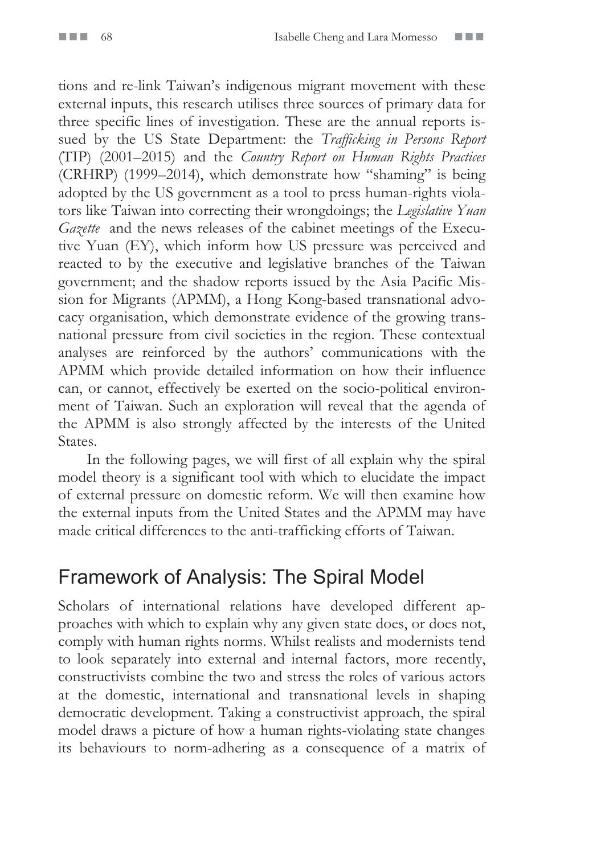tions and re-link Taiwan's indigenous migrant movement with these external inputs, this research utilises three sources of primary data for three specific lines of investigation. These are the annual reports issued by the US State Department: the *Trafficking in Persons Report* (TIP) (2001–2015) and the *Country Report on Human Rights Practices* (CRHRP) (1999–2014), which demonstrate how "shaming" is being adopted by the US government as a tool to press human-rights violators like Taiwan into correcting their wrongdoings; the *Legislative Yuan Gazette* and the news releases of the cabinet meetings of the Executive Yuan (EY), which inform how US pressure was perceived and reacted to by the executive and legislative branches of the Taiwan government; and the shadow reports issued by the Asia Pacific Mission for Migrants (APMM), a Hong Kong-based transnational advocacy organisation, which demonstrate evidence of the growing transnational pressure from civil societies in the region. These contextual analyses are reinforced by the authors' communications with the APMM which provide detailed information on how their influence can, or cannot, effectively be exerted on the socio-political environment of Taiwan. Such an exploration will reveal that the agenda of the APMM is also strongly affected by the interests of the United States.

In the following pages, we will first of all explain why the spiral model theory is a significant tool with which to elucidate the impact of external pressure on domestic reform. We will then examine how the external inputs from the United States and the APMM may have made critical differences to the anti-trafficking efforts of Taiwan.

# Framework of Analysis: The Spiral Model

Scholars of international relations have developed different approaches with which to explain why any given state does, or does not, comply with human rights norms. Whilst realists and modernists tend to look separately into external and internal factors, more recently, constructivists combine the two and stress the roles of various actors at the domestic, international and transnational levels in shaping democratic development. Taking a constructivist approach, the spiral model draws a picture of how a human rights-violating state changes its behaviours to norm-adhering as a consequence of a matrix of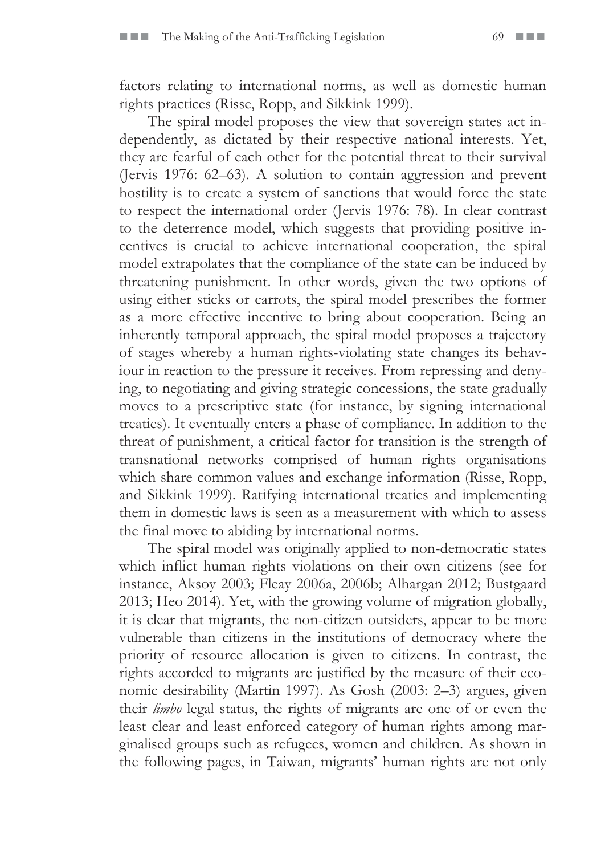factors relating to international norms, as well as domestic human rights practices (Risse, Ropp, and Sikkink 1999).

The spiral model proposes the view that sovereign states act independently, as dictated by their respective national interests. Yet, they are fearful of each other for the potential threat to their survival (Jervis 1976: 62–63). A solution to contain aggression and prevent hostility is to create a system of sanctions that would force the state to respect the international order (Jervis 1976: 78). In clear contrast to the deterrence model, which suggests that providing positive incentives is crucial to achieve international cooperation, the spiral model extrapolates that the compliance of the state can be induced by threatening punishment. In other words, given the two options of using either sticks or carrots, the spiral model prescribes the former as a more effective incentive to bring about cooperation. Being an inherently temporal approach, the spiral model proposes a trajectory of stages whereby a human rights-violating state changes its behaviour in reaction to the pressure it receives. From repressing and denying, to negotiating and giving strategic concessions, the state gradually moves to a prescriptive state (for instance, by signing international treaties). It eventually enters a phase of compliance. In addition to the threat of punishment, a critical factor for transition is the strength of transnational networks comprised of human rights organisations which share common values and exchange information (Risse, Ropp, and Sikkink 1999). Ratifying international treaties and implementing them in domestic laws is seen as a measurement with which to assess the final move to abiding by international norms.

The spiral model was originally applied to non-democratic states which inflict human rights violations on their own citizens (see for instance, Aksoy 2003; Fleay 2006a, 2006b; Alhargan 2012; Bustgaard 2013; Heo 2014). Yet, with the growing volume of migration globally, it is clear that migrants, the non-citizen outsiders, appear to be more vulnerable than citizens in the institutions of democracy where the priority of resource allocation is given to citizens. In contrast, the rights accorded to migrants are justified by the measure of their economic desirability (Martin 1997). As Gosh (2003: 2–3) argues, given their *limbo* legal status, the rights of migrants are one of or even the least clear and least enforced category of human rights among marginalised groups such as refugees, women and children. As shown in the following pages, in Taiwan, migrants' human rights are not only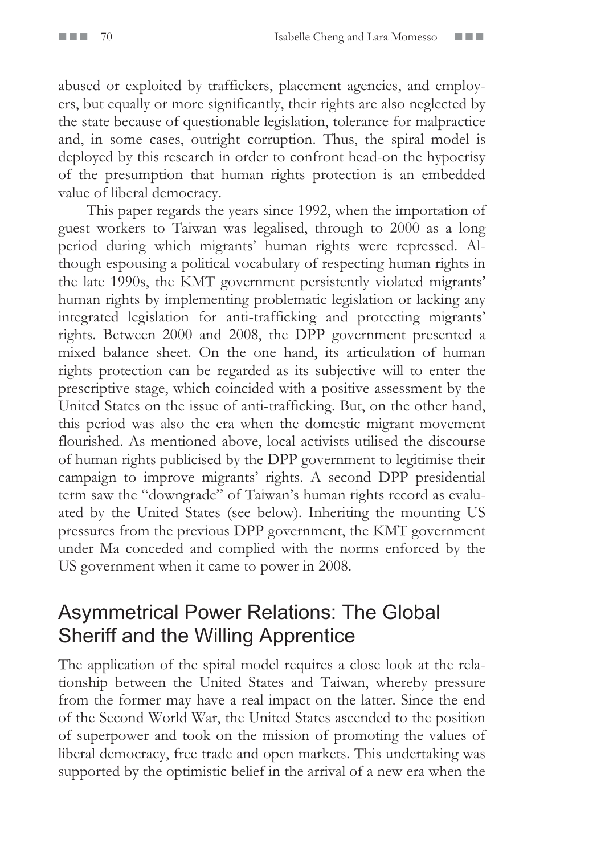abused or exploited by traffickers, placement agencies, and employers, but equally or more significantly, their rights are also neglected by the state because of questionable legislation, tolerance for malpractice and, in some cases, outright corruption. Thus, the spiral model is deployed by this research in order to confront head-on the hypocrisy of the presumption that human rights protection is an embedded value of liberal democracy.

This paper regards the years since 1992, when the importation of guest workers to Taiwan was legalised, through to 2000 as a long period during which migrants' human rights were repressed. Although espousing a political vocabulary of respecting human rights in the late 1990s, the KMT government persistently violated migrants' human rights by implementing problematic legislation or lacking any integrated legislation for anti-trafficking and protecting migrants' rights. Between 2000 and 2008, the DPP government presented a mixed balance sheet. On the one hand, its articulation of human rights protection can be regarded as its subjective will to enter the prescriptive stage, which coincided with a positive assessment by the United States on the issue of anti-trafficking. But, on the other hand, this period was also the era when the domestic migrant movement flourished. As mentioned above, local activists utilised the discourse of human rights publicised by the DPP government to legitimise their campaign to improve migrants' rights. A second DPP presidential term saw the "downgrade" of Taiwan's human rights record as evaluated by the United States (see below). Inheriting the mounting US pressures from the previous DPP government, the KMT government under Ma conceded and complied with the norms enforced by the US government when it came to power in 2008.

# Asymmetrical Power Relations: The Global Sheriff and the Willing Apprentice

The application of the spiral model requires a close look at the relationship between the United States and Taiwan, whereby pressure from the former may have a real impact on the latter. Since the end of the Second World War, the United States ascended to the position of superpower and took on the mission of promoting the values of liberal democracy, free trade and open markets. This undertaking was supported by the optimistic belief in the arrival of a new era when the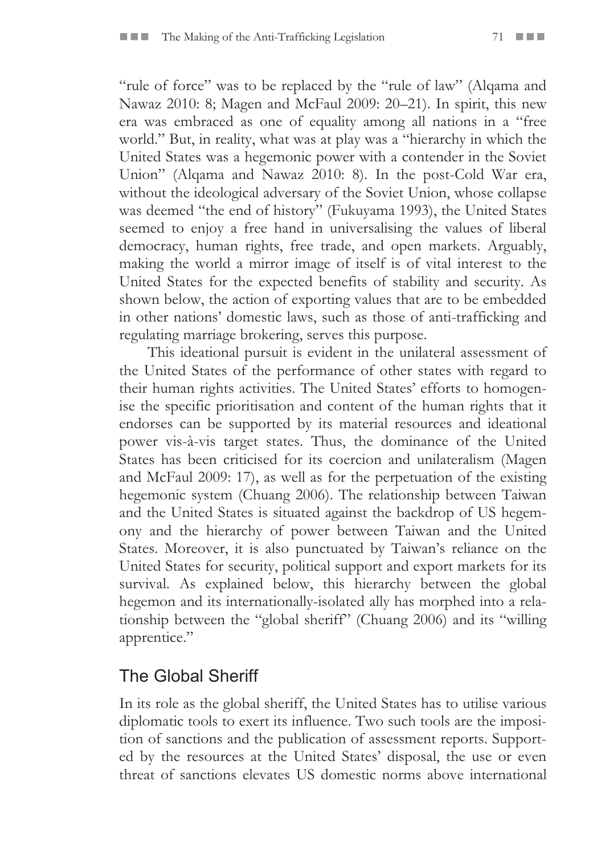"rule of force" was to be replaced by the "rule of law" (Alqama and Nawaz 2010: 8; Magen and McFaul 2009: 20–21). In spirit, this new era was embraced as one of equality among all nations in a "free world." But, in reality, what was at play was a "hierarchy in which the United States was a hegemonic power with a contender in the Soviet Union" (Alqama and Nawaz 2010: 8). In the post-Cold War era, without the ideological adversary of the Soviet Union, whose collapse was deemed "the end of history" (Fukuyama 1993), the United States seemed to enjoy a free hand in universalising the values of liberal democracy, human rights, free trade, and open markets. Arguably, making the world a mirror image of itself is of vital interest to the United States for the expected benefits of stability and security. As shown below, the action of exporting values that are to be embedded in other nations' domestic laws, such as those of anti-trafficking and regulating marriage brokering, serves this purpose.

This ideational pursuit is evident in the unilateral assessment of the United States of the performance of other states with regard to their human rights activities. The United States' efforts to homogenise the specific prioritisation and content of the human rights that it endorses can be supported by its material resources and ideational power vis-à-vis target states. Thus, the dominance of the United States has been criticised for its coercion and unilateralism (Magen and McFaul 2009: 17), as well as for the perpetuation of the existing hegemonic system (Chuang 2006). The relationship between Taiwan and the United States is situated against the backdrop of US hegemony and the hierarchy of power between Taiwan and the United States. Moreover, it is also punctuated by Taiwan's reliance on the United States for security, political support and export markets for its survival. As explained below, this hierarchy between the global hegemon and its internationally-isolated ally has morphed into a relationship between the "global sheriff" (Chuang 2006) and its "willing apprentice."

#### The Global Sheriff

In its role as the global sheriff, the United States has to utilise various diplomatic tools to exert its influence. Two such tools are the imposition of sanctions and the publication of assessment reports. Supported by the resources at the United States' disposal, the use or even threat of sanctions elevates US domestic norms above international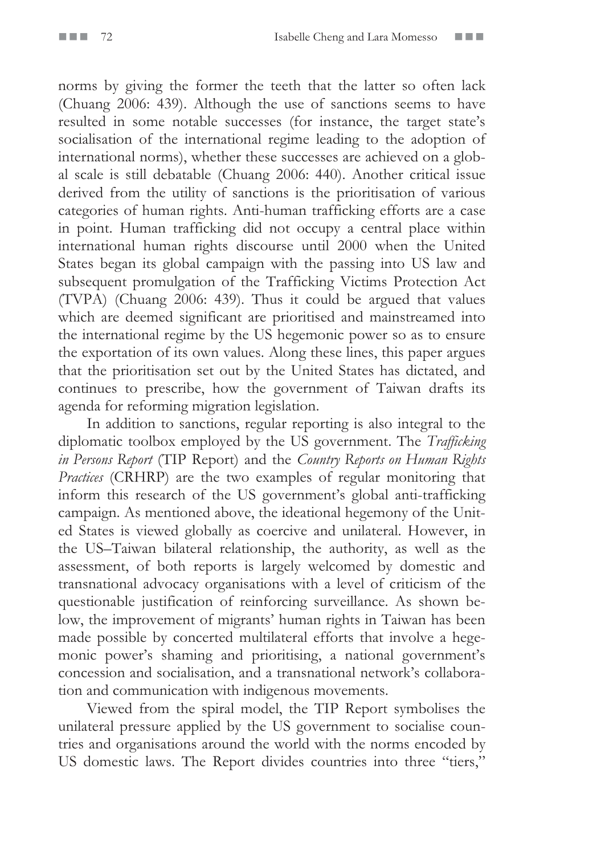norms by giving the former the teeth that the latter so often lack (Chuang 2006: 439). Although the use of sanctions seems to have resulted in some notable successes (for instance, the target state's socialisation of the international regime leading to the adoption of international norms), whether these successes are achieved on a global scale is still debatable (Chuang 2006: 440). Another critical issue derived from the utility of sanctions is the prioritisation of various categories of human rights. Anti-human trafficking efforts are a case in point. Human trafficking did not occupy a central place within international human rights discourse until 2000 when the United States began its global campaign with the passing into US law and subsequent promulgation of the Trafficking Victims Protection Act (TVPA) (Chuang 2006: 439). Thus it could be argued that values which are deemed significant are prioritised and mainstreamed into the international regime by the US hegemonic power so as to ensure the exportation of its own values. Along these lines, this paper argues that the prioritisation set out by the United States has dictated, and continues to prescribe, how the government of Taiwan drafts its agenda for reforming migration legislation.

In addition to sanctions, regular reporting is also integral to the diplomatic toolbox employed by the US government. The *Trafficking in Persons Report* (TIP Report) and the *Country Reports on Human Rights Practices* (CRHRP) are the two examples of regular monitoring that inform this research of the US government's global anti-trafficking campaign. As mentioned above, the ideational hegemony of the United States is viewed globally as coercive and unilateral. However, in the US–Taiwan bilateral relationship, the authority, as well as the assessment, of both reports is largely welcomed by domestic and transnational advocacy organisations with a level of criticism of the questionable justification of reinforcing surveillance. As shown below, the improvement of migrants' human rights in Taiwan has been made possible by concerted multilateral efforts that involve a hegemonic power's shaming and prioritising, a national government's concession and socialisation, and a transnational network's collaboration and communication with indigenous movements.

Viewed from the spiral model, the TIP Report symbolises the unilateral pressure applied by the US government to socialise countries and organisations around the world with the norms encoded by US domestic laws. The Report divides countries into three "tiers,"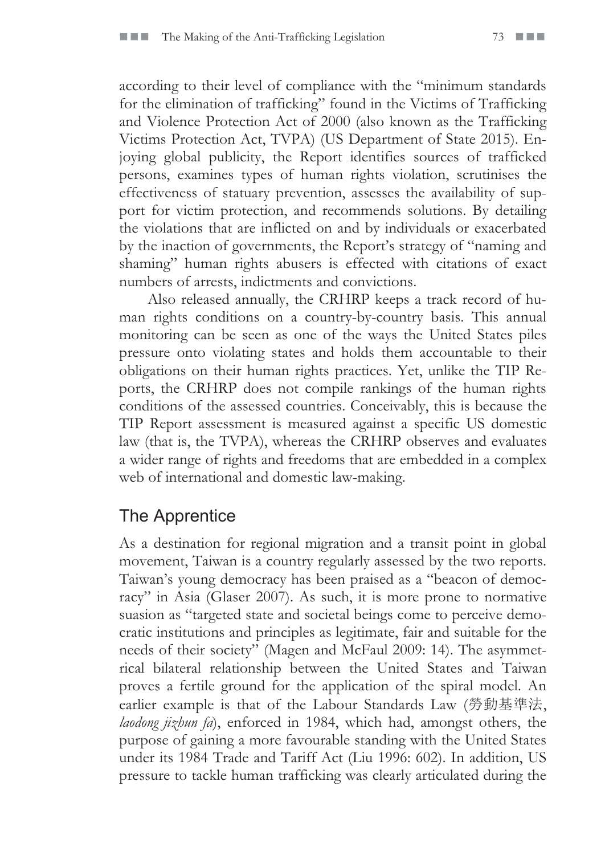according to their level of compliance with the "minimum standards for the elimination of trafficking" found in the Victims of Trafficking and Violence Protection Act of 2000 (also known as the Trafficking Victims Protection Act, TVPA) (US Department of State 2015). Enjoying global publicity, the Report identifies sources of trafficked persons, examines types of human rights violation, scrutinises the effectiveness of statuary prevention, assesses the availability of support for victim protection, and recommends solutions. By detailing the violations that are inflicted on and by individuals or exacerbated by the inaction of governments, the Report's strategy of "naming and shaming" human rights abusers is effected with citations of exact numbers of arrests, indictments and convictions.

Also released annually, the CRHRP keeps a track record of human rights conditions on a country-by-country basis. This annual monitoring can be seen as one of the ways the United States piles pressure onto violating states and holds them accountable to their obligations on their human rights practices. Yet, unlike the TIP Reports, the CRHRP does not compile rankings of the human rights conditions of the assessed countries. Conceivably, this is because the TIP Report assessment is measured against a specific US domestic law (that is, the TVPA), whereas the CRHRP observes and evaluates a wider range of rights and freedoms that are embedded in a complex web of international and domestic law-making.

## The Apprentice

As a destination for regional migration and a transit point in global movement, Taiwan is a country regularly assessed by the two reports. Taiwan's young democracy has been praised as a "beacon of democracy" in Asia (Glaser 2007). As such, it is more prone to normative suasion as "targeted state and societal beings come to perceive democratic institutions and principles as legitimate, fair and suitable for the needs of their society" (Magen and McFaul 2009: 14). The asymmetrical bilateral relationship between the United States and Taiwan proves a fertile ground for the application of the spiral model. An earlier example is that of the Labour Standards Law (勞動基準法, *laodong jizhun fa*), enforced in 1984, which had, amongst others, the purpose of gaining a more favourable standing with the United States under its 1984 Trade and Tariff Act (Liu 1996: 602). In addition, US pressure to tackle human trafficking was clearly articulated during the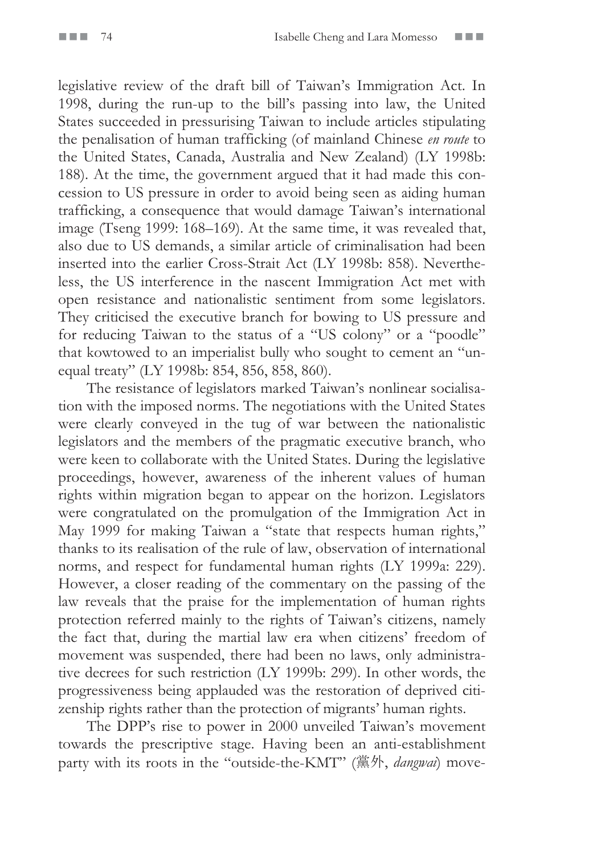legislative review of the draft bill of Taiwan's Immigration Act. In 1998, during the run-up to the bill's passing into law, the United States succeeded in pressurising Taiwan to include articles stipulating the penalisation of human trafficking (of mainland Chinese *en route* to the United States, Canada, Australia and New Zealand) (LY 1998b: 188). At the time, the government argued that it had made this concession to US pressure in order to avoid being seen as aiding human trafficking, a consequence that would damage Taiwan's international image (Tseng 1999: 168–169). At the same time, it was revealed that, also due to US demands, a similar article of criminalisation had been inserted into the earlier Cross-Strait Act (LY 1998b: 858). Nevertheless, the US interference in the nascent Immigration Act met with open resistance and nationalistic sentiment from some legislators. They criticised the executive branch for bowing to US pressure and for reducing Taiwan to the status of a "US colony" or a "poodle" that kowtowed to an imperialist bully who sought to cement an "unequal treaty" (LY 1998b: 854, 856, 858, 860).

The resistance of legislators marked Taiwan's nonlinear socialisation with the imposed norms. The negotiations with the United States were clearly conveyed in the tug of war between the nationalistic legislators and the members of the pragmatic executive branch, who were keen to collaborate with the United States. During the legislative proceedings, however, awareness of the inherent values of human rights within migration began to appear on the horizon. Legislators were congratulated on the promulgation of the Immigration Act in May 1999 for making Taiwan a "state that respects human rights," thanks to its realisation of the rule of law, observation of international norms, and respect for fundamental human rights (LY 1999a: 229). However, a closer reading of the commentary on the passing of the law reveals that the praise for the implementation of human rights protection referred mainly to the rights of Taiwan's citizens, namely the fact that, during the martial law era when citizens' freedom of movement was suspended, there had been no laws, only administrative decrees for such restriction (LY 1999b: 299). In other words, the progressiveness being applauded was the restoration of deprived citizenship rights rather than the protection of migrants' human rights.

The DPP's rise to power in 2000 unveiled Taiwan's movement towards the prescriptive stage. Having been an anti-establishment party with its roots in the "outside-the-KMT" (黨外, *dangwai*) move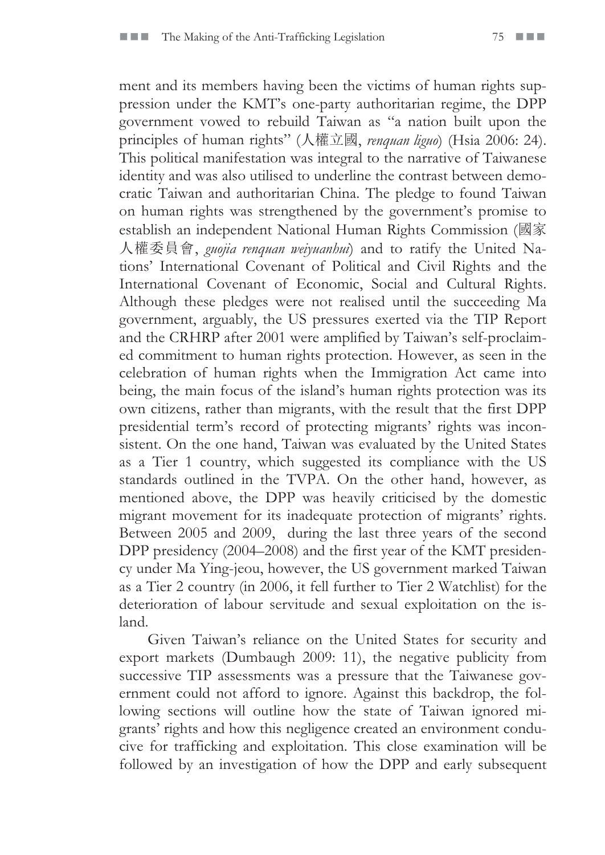ment and its members having been the victims of human rights suppression under the KMT's one-party authoritarian regime, the DPP government vowed to rebuild Taiwan as "a nation built upon the principles of human rights" (人權立國, *renquan liguo*) (Hsia 2006: 24). This political manifestation was integral to the narrative of Taiwanese identity and was also utilised to underline the contrast between democratic Taiwan and authoritarian China. The pledge to found Taiwan on human rights was strengthened by the government's promise to establish an independent National Human Rights Commission (國家 人權委員會, *guojia renquan weiyuanhui*) and to ratify the United Nations' International Covenant of Political and Civil Rights and the International Covenant of Economic, Social and Cultural Rights. Although these pledges were not realised until the succeeding Ma government, arguably, the US pressures exerted via the TIP Report and the CRHRP after 2001 were amplified by Taiwan's self-proclaimed commitment to human rights protection. However, as seen in the celebration of human rights when the Immigration Act came into being, the main focus of the island's human rights protection was its own citizens, rather than migrants, with the result that the first DPP presidential term's record of protecting migrants' rights was inconsistent. On the one hand, Taiwan was evaluated by the United States as a Tier 1 country, which suggested its compliance with the US standards outlined in the TVPA. On the other hand, however, as mentioned above, the DPP was heavily criticised by the domestic migrant movement for its inadequate protection of migrants' rights. Between 2005 and 2009, during the last three years of the second DPP presidency (2004–2008) and the first year of the KMT presidency under Ma Ying-jeou, however, the US government marked Taiwan as a Tier 2 country (in 2006, it fell further to Tier 2 Watchlist) for the deterioration of labour servitude and sexual exploitation on the island.

Given Taiwan's reliance on the United States for security and export markets (Dumbaugh 2009: 11), the negative publicity from successive TIP assessments was a pressure that the Taiwanese government could not afford to ignore. Against this backdrop, the following sections will outline how the state of Taiwan ignored migrants' rights and how this negligence created an environment conducive for trafficking and exploitation. This close examination will be followed by an investigation of how the DPP and early subsequent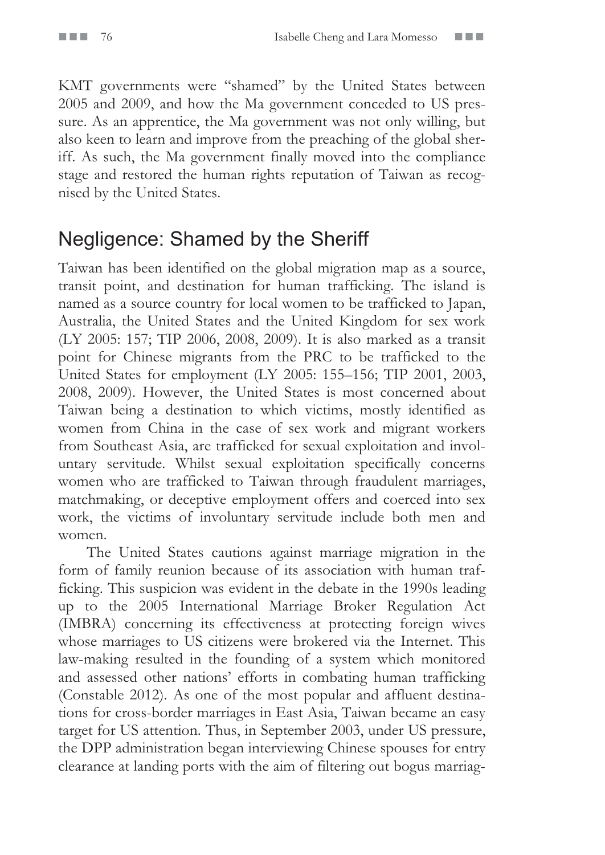KMT governments were "shamed" by the United States between 2005 and 2009, and how the Ma government conceded to US pressure. As an apprentice, the Ma government was not only willing, but also keen to learn and improve from the preaching of the global sheriff. As such, the Ma government finally moved into the compliance stage and restored the human rights reputation of Taiwan as recognised by the United States.

# Negligence: Shamed by the Sheriff

Taiwan has been identified on the global migration map as a source, transit point, and destination for human trafficking. The island is named as a source country for local women to be trafficked to Japan, Australia, the United States and the United Kingdom for sex work (LY 2005: 157; TIP 2006, 2008, 2009). It is also marked as a transit point for Chinese migrants from the PRC to be trafficked to the United States for employment (LY 2005: 155–156; TIP 2001, 2003, 2008, 2009). However, the United States is most concerned about Taiwan being a destination to which victims, mostly identified as women from China in the case of sex work and migrant workers from Southeast Asia, are trafficked for sexual exploitation and involuntary servitude. Whilst sexual exploitation specifically concerns women who are trafficked to Taiwan through fraudulent marriages, matchmaking, or deceptive employment offers and coerced into sex work, the victims of involuntary servitude include both men and women.

The United States cautions against marriage migration in the form of family reunion because of its association with human trafficking. This suspicion was evident in the debate in the 1990s leading up to the 2005 International Marriage Broker Regulation Act (IMBRA) concerning its effectiveness at protecting foreign wives whose marriages to US citizens were brokered via the Internet. This law-making resulted in the founding of a system which monitored and assessed other nations' efforts in combating human trafficking (Constable 2012). As one of the most popular and affluent destinations for cross-border marriages in East Asia, Taiwan became an easy target for US attention. Thus, in September 2003, under US pressure, the DPP administration began interviewing Chinese spouses for entry clearance at landing ports with the aim of filtering out bogus marriag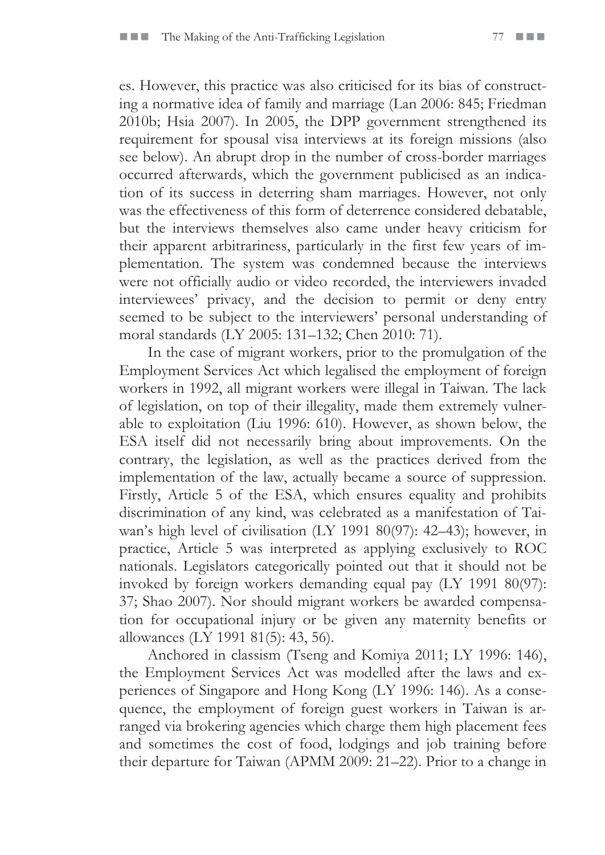es. However, this practice was also criticised for its bias of constructing a normative idea of family and marriage (Lan 2006: 845; Friedman 2010b; Hsia 2007). In 2005, the DPP government strengthened its requirement for spousal visa interviews at its foreign missions (also see below). An abrupt drop in the number of cross-border marriages occurred afterwards, which the government publicised as an indication of its success in deterring sham marriages. However, not only was the effectiveness of this form of deterrence considered debatable, but the interviews themselves also came under heavy criticism for their apparent arbitrariness, particularly in the first few years of implementation. The system was condemned because the interviews were not officially audio or video recorded, the interviewers invaded interviewees' privacy, and the decision to permit or deny entry seemed to be subject to the interviewers' personal understanding of moral standards (LY 2005: 131–132; Chen 2010: 71).

In the case of migrant workers, prior to the promulgation of the Employment Services Act which legalised the employment of foreign workers in 1992, all migrant workers were illegal in Taiwan. The lack of legislation, on top of their illegality, made them extremely vulnerable to exploitation (Liu 1996: 610). However, as shown below, the ESA itself did not necessarily bring about improvements. On the contrary, the legislation, as well as the practices derived from the implementation of the law, actually became a source of suppression. Firstly, Article 5 of the ESA, which ensures equality and prohibits discrimination of any kind, was celebrated as a manifestation of Taiwan's high level of civilisation (LY 1991 80(97): 42–43); however, in practice, Article 5 was interpreted as applying exclusively to ROC nationals. Legislators categorically pointed out that it should not be invoked by foreign workers demanding equal pay (LY 1991 80(97): 37; Shao 2007). Nor should migrant workers be awarded compensation for occupational injury or be given any maternity benefits or allowances (LY 1991 81(5): 43, 56).

Anchored in classism (Tseng and Komiya 2011; LY 1996: 146), the Employment Services Act was modelled after the laws and experiences of Singapore and Hong Kong (LY 1996: 146). As a consequence, the employment of foreign guest workers in Taiwan is arranged via brokering agencies which charge them high placement fees and sometimes the cost of food, lodgings and job training before their departure for Taiwan (APMM 2009: 21–22). Prior to a change in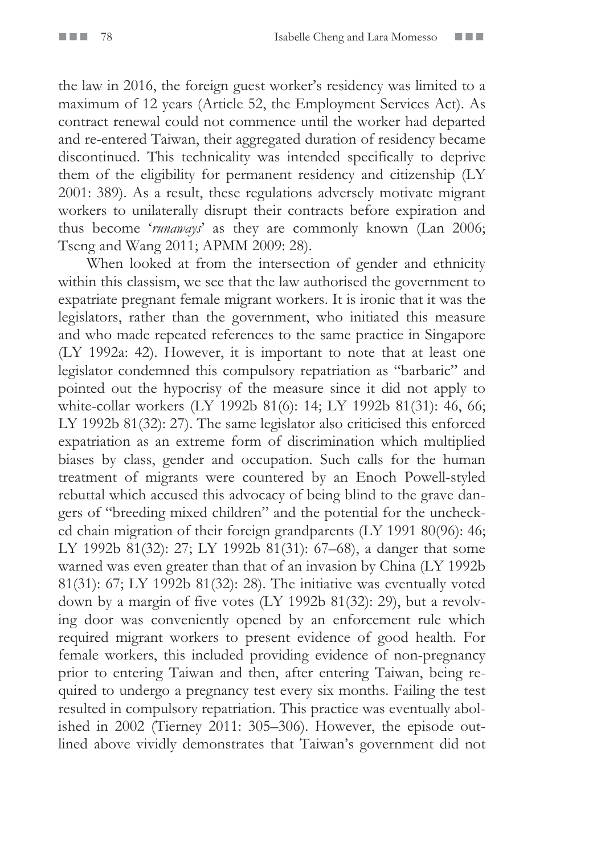the law in 2016, the foreign guest worker's residency was limited to a maximum of 12 years (Article 52, the Employment Services Act). As contract renewal could not commence until the worker had departed and re-entered Taiwan, their aggregated duration of residency became discontinued. This technicality was intended specifically to deprive them of the eligibility for permanent residency and citizenship (LY 2001: 389). As a result, these regulations adversely motivate migrant workers to unilaterally disrupt their contracts before expiration and thus become '*runaways*' as they are commonly known (Lan 2006; Tseng and Wang 2011; APMM 2009: 28).

When looked at from the intersection of gender and ethnicity within this classism, we see that the law authorised the government to expatriate pregnant female migrant workers. It is ironic that it was the legislators, rather than the government, who initiated this measure and who made repeated references to the same practice in Singapore (LY 1992a: 42). However, it is important to note that at least one legislator condemned this compulsory repatriation as "barbaric" and pointed out the hypocrisy of the measure since it did not apply to white-collar workers (LY 1992b 81(6): 14; LY 1992b 81(31): 46, 66; LY 1992b 81(32): 27). The same legislator also criticised this enforced expatriation as an extreme form of discrimination which multiplied biases by class, gender and occupation. Such calls for the human treatment of migrants were countered by an Enoch Powell-styled rebuttal which accused this advocacy of being blind to the grave dangers of "breeding mixed children" and the potential for the unchecked chain migration of their foreign grandparents (LY 1991 80(96): 46; LY 1992b 81(32): 27; LY 1992b 81(31): 67–68), a danger that some warned was even greater than that of an invasion by China (LY 1992b 81(31): 67; LY 1992b 81(32): 28). The initiative was eventually voted down by a margin of five votes (LY 1992b 81(32): 29), but a revolving door was conveniently opened by an enforcement rule which required migrant workers to present evidence of good health. For female workers, this included providing evidence of non-pregnancy prior to entering Taiwan and then, after entering Taiwan, being required to undergo a pregnancy test every six months. Failing the test resulted in compulsory repatriation. This practice was eventually abolished in 2002 (Tierney 2011: 305–306). However, the episode outlined above vividly demonstrates that Taiwan's government did not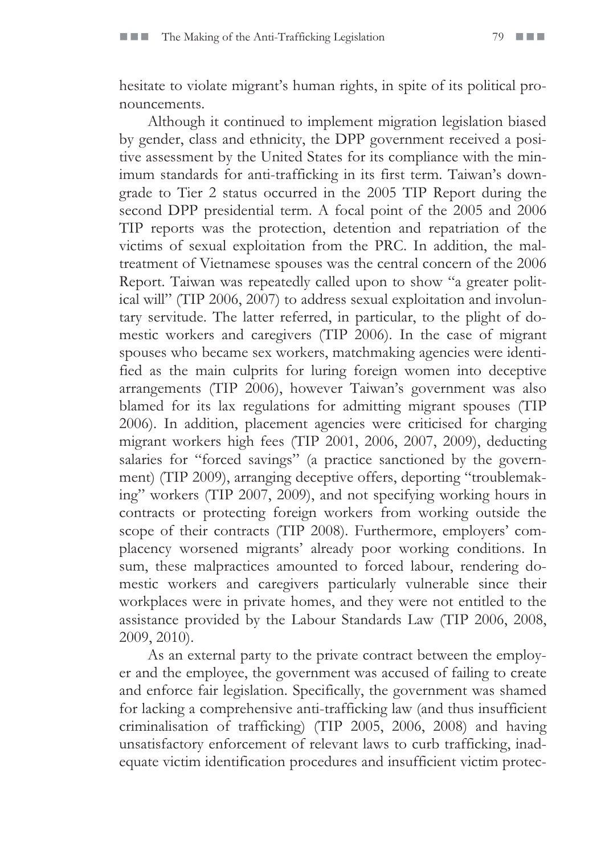hesitate to violate migrant's human rights, in spite of its political pronouncements.

Although it continued to implement migration legislation biased by gender, class and ethnicity, the DPP government received a positive assessment by the United States for its compliance with the minimum standards for anti-trafficking in its first term. Taiwan's downgrade to Tier 2 status occurred in the 2005 TIP Report during the second DPP presidential term. A focal point of the 2005 and 2006 TIP reports was the protection, detention and repatriation of the victims of sexual exploitation from the PRC. In addition, the maltreatment of Vietnamese spouses was the central concern of the 2006 Report. Taiwan was repeatedly called upon to show "a greater political will" (TIP 2006, 2007) to address sexual exploitation and involuntary servitude. The latter referred, in particular, to the plight of domestic workers and caregivers (TIP 2006). In the case of migrant spouses who became sex workers, matchmaking agencies were identified as the main culprits for luring foreign women into deceptive arrangements (TIP 2006), however Taiwan's government was also blamed for its lax regulations for admitting migrant spouses (TIP 2006). In addition, placement agencies were criticised for charging migrant workers high fees (TIP 2001, 2006, 2007, 2009), deducting salaries for "forced savings" (a practice sanctioned by the government) (TIP 2009), arranging deceptive offers, deporting "troublemaking" workers (TIP 2007, 2009), and not specifying working hours in contracts or protecting foreign workers from working outside the scope of their contracts (TIP 2008). Furthermore, employers' complacency worsened migrants' already poor working conditions. In sum, these malpractices amounted to forced labour, rendering domestic workers and caregivers particularly vulnerable since their workplaces were in private homes, and they were not entitled to the assistance provided by the Labour Standards Law (TIP 2006, 2008, 2009, 2010).

As an external party to the private contract between the employer and the employee, the government was accused of failing to create and enforce fair legislation. Specifically, the government was shamed for lacking a comprehensive anti-trafficking law (and thus insufficient criminalisation of trafficking) (TIP 2005, 2006, 2008) and having unsatisfactory enforcement of relevant laws to curb trafficking, inadequate victim identification procedures and insufficient victim protec-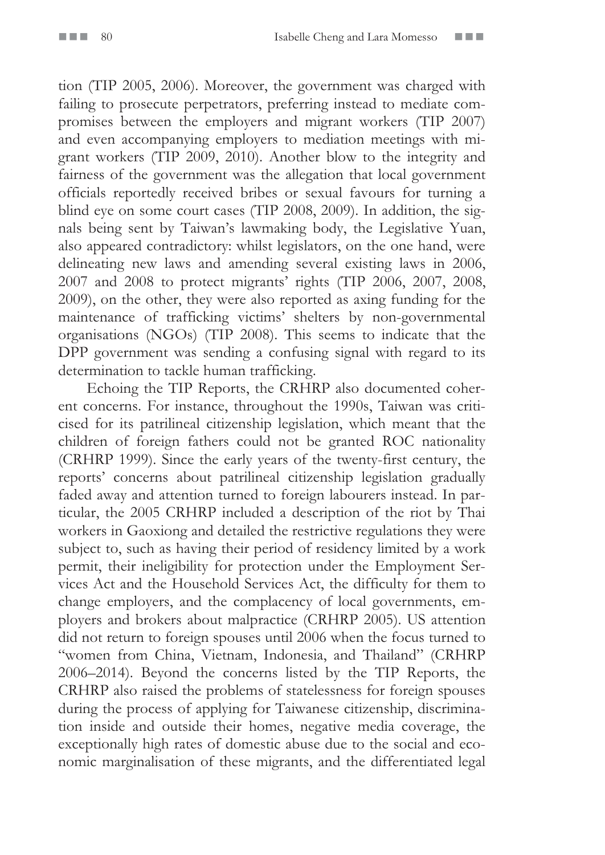tion (TIP 2005, 2006). Moreover, the government was charged with failing to prosecute perpetrators, preferring instead to mediate compromises between the employers and migrant workers (TIP 2007) and even accompanying employers to mediation meetings with migrant workers (TIP 2009, 2010). Another blow to the integrity and fairness of the government was the allegation that local government officials reportedly received bribes or sexual favours for turning a blind eye on some court cases (TIP 2008, 2009). In addition, the signals being sent by Taiwan's lawmaking body, the Legislative Yuan, also appeared contradictory: whilst legislators, on the one hand, were delineating new laws and amending several existing laws in 2006, 2007 and 2008 to protect migrants' rights (TIP 2006, 2007, 2008, 2009), on the other, they were also reported as axing funding for the maintenance of trafficking victims' shelters by non-governmental organisations (NGOs) (TIP 2008). This seems to indicate that the DPP government was sending a confusing signal with regard to its determination to tackle human trafficking.

Echoing the TIP Reports, the CRHRP also documented coherent concerns. For instance, throughout the 1990s, Taiwan was criticised for its patrilineal citizenship legislation, which meant that the children of foreign fathers could not be granted ROC nationality (CRHRP 1999). Since the early years of the twenty-first century, the reports' concerns about patrilineal citizenship legislation gradually faded away and attention turned to foreign labourers instead. In particular, the 2005 CRHRP included a description of the riot by Thai workers in Gaoxiong and detailed the restrictive regulations they were subject to, such as having their period of residency limited by a work permit, their ineligibility for protection under the Employment Services Act and the Household Services Act, the difficulty for them to change employers, and the complacency of local governments, employers and brokers about malpractice (CRHRP 2005). US attention did not return to foreign spouses until 2006 when the focus turned to "women from China, Vietnam, Indonesia, and Thailand" (CRHRP 2006–2014). Beyond the concerns listed by the TIP Reports, the CRHRP also raised the problems of statelessness for foreign spouses during the process of applying for Taiwanese citizenship, discrimination inside and outside their homes, negative media coverage, the exceptionally high rates of domestic abuse due to the social and economic marginalisation of these migrants, and the differentiated legal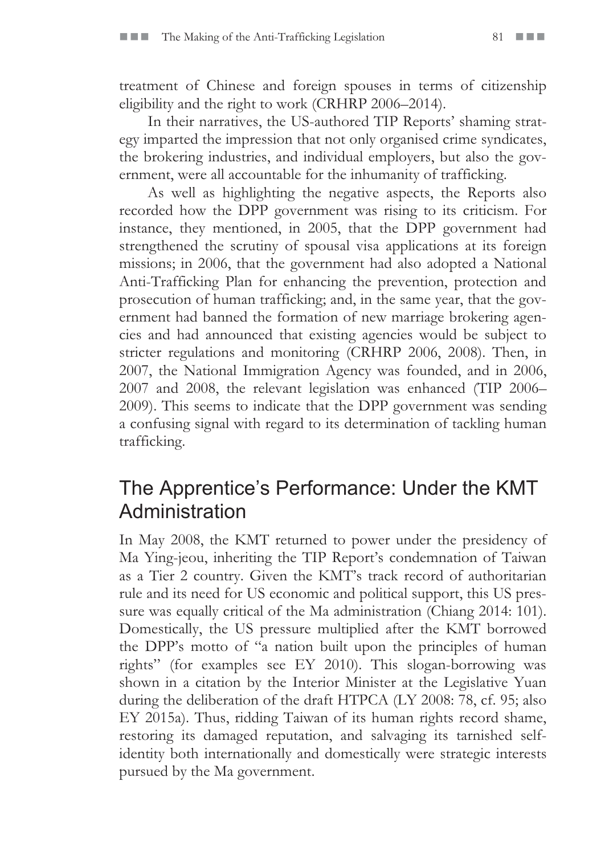treatment of Chinese and foreign spouses in terms of citizenship eligibility and the right to work (CRHRP 2006–2014).

In their narratives, the US-authored TIP Reports' shaming strategy imparted the impression that not only organised crime syndicates, the brokering industries, and individual employers, but also the government, were all accountable for the inhumanity of trafficking.

As well as highlighting the negative aspects, the Reports also recorded how the DPP government was rising to its criticism. For instance, they mentioned, in 2005, that the DPP government had strengthened the scrutiny of spousal visa applications at its foreign missions; in 2006, that the government had also adopted a National Anti-Trafficking Plan for enhancing the prevention, protection and prosecution of human trafficking; and, in the same year, that the government had banned the formation of new marriage brokering agencies and had announced that existing agencies would be subject to stricter regulations and monitoring (CRHRP 2006, 2008). Then, in 2007, the National Immigration Agency was founded, and in 2006, 2007 and 2008, the relevant legislation was enhanced (TIP 2006– 2009). This seems to indicate that the DPP government was sending a confusing signal with regard to its determination of tackling human trafficking.

# The Apprentice's Performance: Under the KMT Administration

In May 2008, the KMT returned to power under the presidency of Ma Ying-jeou, inheriting the TIP Report's condemnation of Taiwan as a Tier 2 country. Given the KMT's track record of authoritarian rule and its need for US economic and political support, this US pressure was equally critical of the Ma administration (Chiang 2014: 101). Domestically, the US pressure multiplied after the KMT borrowed the DPP's motto of "a nation built upon the principles of human rights" (for examples see EY 2010). This slogan-borrowing was shown in a citation by the Interior Minister at the Legislative Yuan during the deliberation of the draft HTPCA (LY 2008: 78, cf. 95; also EY 2015a). Thus, ridding Taiwan of its human rights record shame, restoring its damaged reputation, and salvaging its tarnished selfidentity both internationally and domestically were strategic interests pursued by the Ma government.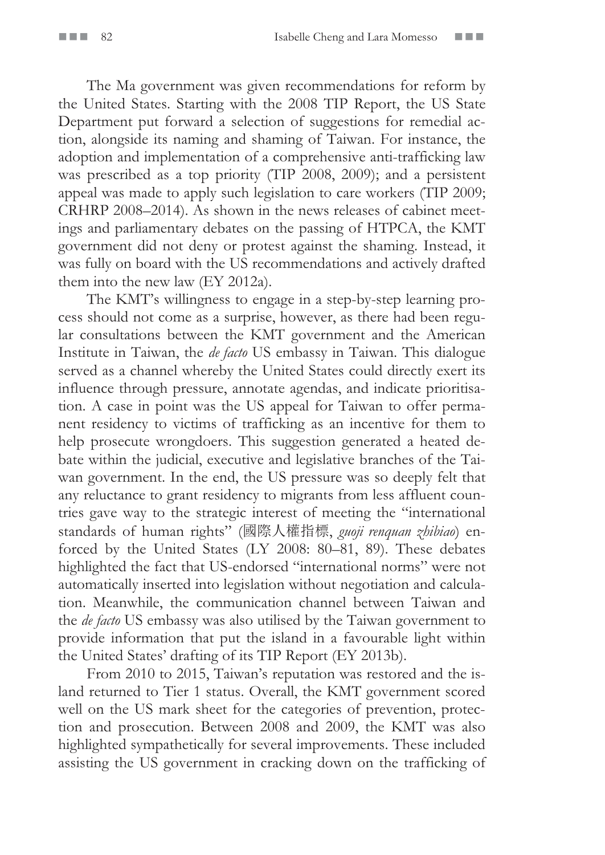The Ma government was given recommendations for reform by the United States. Starting with the 2008 TIP Report, the US State Department put forward a selection of suggestions for remedial action, alongside its naming and shaming of Taiwan. For instance, the adoption and implementation of a comprehensive anti-trafficking law was prescribed as a top priority (TIP 2008, 2009); and a persistent appeal was made to apply such legislation to care workers (TIP 2009; CRHRP 2008–2014). As shown in the news releases of cabinet meetings and parliamentary debates on the passing of HTPCA, the KMT government did not deny or protest against the shaming. Instead, it was fully on board with the US recommendations and actively drafted them into the new law (EY 2012a).

The KMT's willingness to engage in a step-by-step learning process should not come as a surprise, however, as there had been regular consultations between the KMT government and the American Institute in Taiwan, the *de facto* US embassy in Taiwan. This dialogue served as a channel whereby the United States could directly exert its influence through pressure, annotate agendas, and indicate prioritisation. A case in point was the US appeal for Taiwan to offer permanent residency to victims of trafficking as an incentive for them to help prosecute wrongdoers. This suggestion generated a heated debate within the judicial, executive and legislative branches of the Taiwan government. In the end, the US pressure was so deeply felt that any reluctance to grant residency to migrants from less affluent countries gave way to the strategic interest of meeting the "international standards of human rights" (國際人權指標, *guoji renquan zhibiao*) enforced by the United States (LY 2008: 80–81, 89). These debates highlighted the fact that US-endorsed "international norms" were not automatically inserted into legislation without negotiation and calculation. Meanwhile, the communication channel between Taiwan and the *de facto* US embassy was also utilised by the Taiwan government to provide information that put the island in a favourable light within the United States' drafting of its TIP Report (EY 2013b).

From 2010 to 2015, Taiwan's reputation was restored and the island returned to Tier 1 status. Overall, the KMT government scored well on the US mark sheet for the categories of prevention, protection and prosecution. Between 2008 and 2009, the KMT was also highlighted sympathetically for several improvements. These included assisting the US government in cracking down on the trafficking of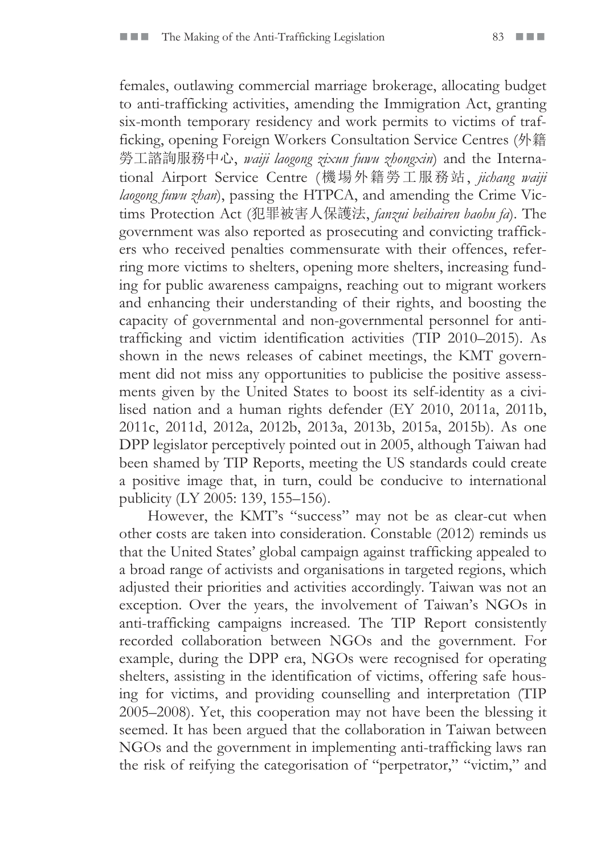females, outlawing commercial marriage brokerage, allocating budget to anti-trafficking activities, amending the Immigration Act, granting six-month temporary residency and work permits to victims of trafficking, opening Foreign Workers Consultation Service Centres (外籍 勞工諮詢服務中心, waiji laogong zixun fuwu zhongxin) and the International Airport Service Centre (機場外籍勞工服務站, jichang waiji *laogong fuwu zhan*), passing the HTPCA, and amending the Crime Victims Protection Act (犯罪被害人保護法, *fanzui beihairen baohu fa*). The government was also reported as prosecuting and convicting traffickers who received penalties commensurate with their offences, referring more victims to shelters, opening more shelters, increasing funding for public awareness campaigns, reaching out to migrant workers and enhancing their understanding of their rights, and boosting the capacity of governmental and non-governmental personnel for antitrafficking and victim identification activities (TIP 2010–2015). As shown in the news releases of cabinet meetings, the KMT government did not miss any opportunities to publicise the positive assessments given by the United States to boost its self-identity as a civilised nation and a human rights defender (EY 2010, 2011a, 2011b, 2011c, 2011d, 2012a, 2012b, 2013a, 2013b, 2015a, 2015b). As one DPP legislator perceptively pointed out in 2005, although Taiwan had been shamed by TIP Reports, meeting the US standards could create a positive image that, in turn, could be conducive to international publicity (LY 2005: 139, 155–156).

However, the KMT's "success" may not be as clear-cut when other costs are taken into consideration. Constable (2012) reminds us that the United States' global campaign against trafficking appealed to a broad range of activists and organisations in targeted regions, which adjusted their priorities and activities accordingly. Taiwan was not an exception. Over the years, the involvement of Taiwan's NGOs in anti-trafficking campaigns increased. The TIP Report consistently recorded collaboration between NGOs and the government. For example, during the DPP era, NGOs were recognised for operating shelters, assisting in the identification of victims, offering safe housing for victims, and providing counselling and interpretation (TIP 2005–2008). Yet, this cooperation may not have been the blessing it seemed. It has been argued that the collaboration in Taiwan between NGOs and the government in implementing anti-trafficking laws ran the risk of reifying the categorisation of "perpetrator," "victim," and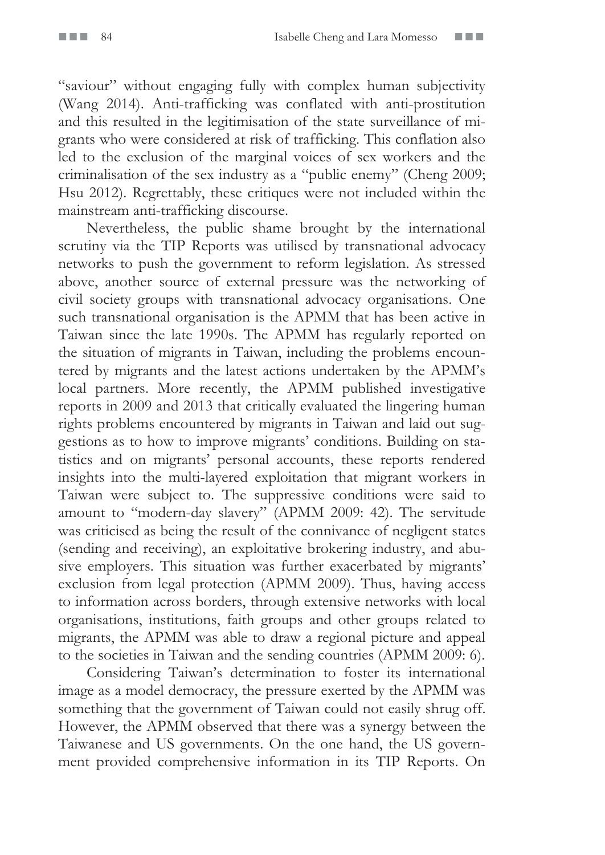"saviour" without engaging fully with complex human subjectivity (Wang 2014). Anti-trafficking was conflated with anti-prostitution and this resulted in the legitimisation of the state surveillance of migrants who were considered at risk of trafficking. This conflation also led to the exclusion of the marginal voices of sex workers and the criminalisation of the sex industry as a "public enemy" (Cheng 2009; Hsu 2012). Regrettably, these critiques were not included within the mainstream anti-trafficking discourse.

Nevertheless, the public shame brought by the international scrutiny via the TIP Reports was utilised by transnational advocacy networks to push the government to reform legislation. As stressed above, another source of external pressure was the networking of civil society groups with transnational advocacy organisations. One such transnational organisation is the APMM that has been active in Taiwan since the late 1990s. The APMM has regularly reported on the situation of migrants in Taiwan, including the problems encountered by migrants and the latest actions undertaken by the APMM's local partners. More recently, the APMM published investigative reports in 2009 and 2013 that critically evaluated the lingering human rights problems encountered by migrants in Taiwan and laid out suggestions as to how to improve migrants' conditions. Building on statistics and on migrants' personal accounts, these reports rendered insights into the multi-layered exploitation that migrant workers in Taiwan were subject to. The suppressive conditions were said to amount to "modern-day slavery" (APMM 2009: 42). The servitude was criticised as being the result of the connivance of negligent states (sending and receiving), an exploitative brokering industry, and abusive employers. This situation was further exacerbated by migrants' exclusion from legal protection (APMM 2009). Thus, having access to information across borders, through extensive networks with local organisations, institutions, faith groups and other groups related to migrants, the APMM was able to draw a regional picture and appeal to the societies in Taiwan and the sending countries (APMM 2009: 6).

Considering Taiwan's determination to foster its international image as a model democracy, the pressure exerted by the APMM was something that the government of Taiwan could not easily shrug off. However, the APMM observed that there was a synergy between the Taiwanese and US governments. On the one hand, the US government provided comprehensive information in its TIP Reports. On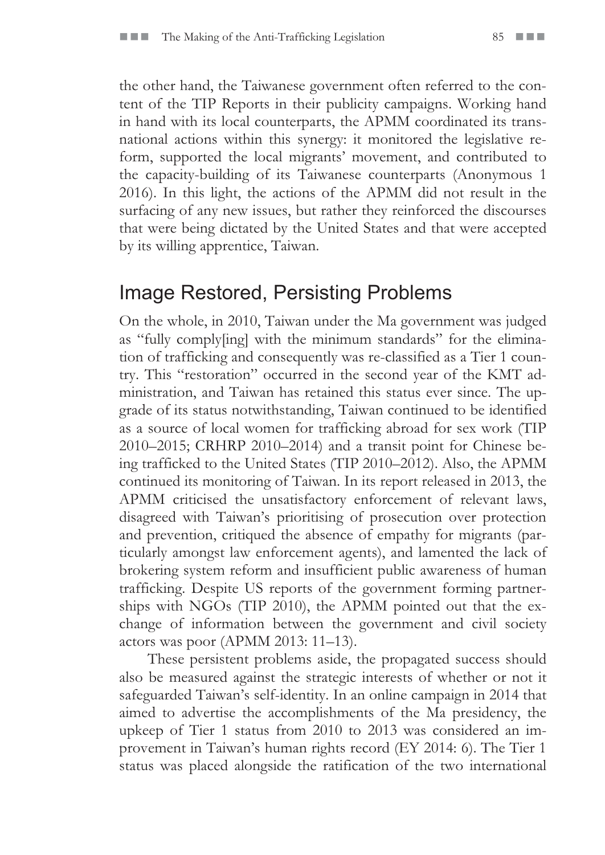the other hand, the Taiwanese government often referred to the content of the TIP Reports in their publicity campaigns. Working hand in hand with its local counterparts, the APMM coordinated its transnational actions within this synergy: it monitored the legislative reform, supported the local migrants' movement, and contributed to the capacity-building of its Taiwanese counterparts (Anonymous 1 2016). In this light, the actions of the APMM did not result in the surfacing of any new issues, but rather they reinforced the discourses that were being dictated by the United States and that were accepted by its willing apprentice, Taiwan.

## Image Restored, Persisting Problems

On the whole, in 2010, Taiwan under the Ma government was judged as "fully comply[ing] with the minimum standards" for the elimination of trafficking and consequently was re-classified as a Tier 1 country. This "restoration" occurred in the second year of the KMT administration, and Taiwan has retained this status ever since. The upgrade of its status notwithstanding, Taiwan continued to be identified as a source of local women for trafficking abroad for sex work (TIP 2010–2015; CRHRP 2010–2014) and a transit point for Chinese being trafficked to the United States (TIP 2010–2012). Also, the APMM continued its monitoring of Taiwan. In its report released in 2013, the APMM criticised the unsatisfactory enforcement of relevant laws, disagreed with Taiwan's prioritising of prosecution over protection and prevention, critiqued the absence of empathy for migrants (particularly amongst law enforcement agents), and lamented the lack of brokering system reform and insufficient public awareness of human trafficking. Despite US reports of the government forming partnerships with NGOs (TIP 2010), the APMM pointed out that the exchange of information between the government and civil society actors was poor (APMM 2013: 11–13).

These persistent problems aside, the propagated success should also be measured against the strategic interests of whether or not it safeguarded Taiwan's self-identity. In an online campaign in 2014 that aimed to advertise the accomplishments of the Ma presidency, the upkeep of Tier 1 status from 2010 to 2013 was considered an improvement in Taiwan's human rights record (EY 2014: 6). The Tier 1 status was placed alongside the ratification of the two international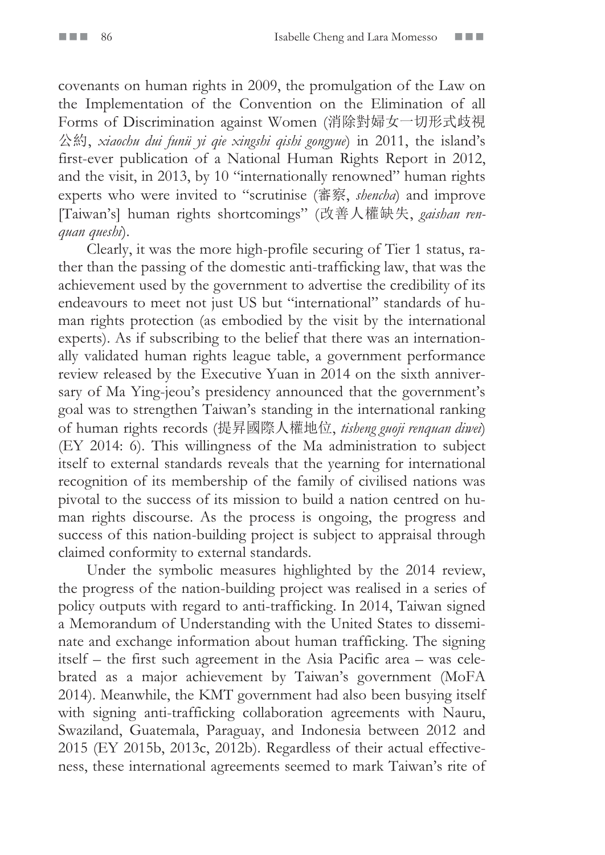covenants on human rights in 2009, the promulgation of the Law on the Implementation of the Convention on the Elimination of all Forms of Discrimination against Women (消除對婦女一切形式歧視 ޜ㌴, *xiaochu dui funü yi qie xingshi qishi gongyue*) in 2011, the island's first-ever publication of a National Human Rights Report in 2012, and the visit, in 2013, by 10 "internationally renowned" human rights experts who were invited to "scrutinise (審察, *shencha*) and improve [Taiwan's] human rights shortcomings" (改善人權缺失, gaishan ren*quan queshi*).

Clearly, it was the more high-profile securing of Tier 1 status, rather than the passing of the domestic anti-trafficking law, that was the achievement used by the government to advertise the credibility of its endeavours to meet not just US but "international" standards of human rights protection (as embodied by the visit by the international experts). As if subscribing to the belief that there was an internationally validated human rights league table, a government performance review released by the Executive Yuan in 2014 on the sixth anniversary of Ma Ying-jeou's presidency announced that the government's goal was to strengthen Taiwan's standing in the international ranking of human rights records (提昇國際人權地位, tisheng guoji renquan diwei) (EY 2014: 6). This willingness of the Ma administration to subject itself to external standards reveals that the yearning for international recognition of its membership of the family of civilised nations was pivotal to the success of its mission to build a nation centred on human rights discourse. As the process is ongoing, the progress and success of this nation-building project is subject to appraisal through claimed conformity to external standards.

Under the symbolic measures highlighted by the 2014 review, the progress of the nation-building project was realised in a series of policy outputs with regard to anti-trafficking. In 2014, Taiwan signed a Memorandum of Understanding with the United States to disseminate and exchange information about human trafficking. The signing itself – the first such agreement in the Asia Pacific area – was celebrated as a major achievement by Taiwan's government (MoFA 2014). Meanwhile, the KMT government had also been busying itself with signing anti-trafficking collaboration agreements with Nauru, Swaziland, Guatemala, Paraguay, and Indonesia between 2012 and 2015 (EY 2015b, 2013c, 2012b). Regardless of their actual effectiveness, these international agreements seemed to mark Taiwan's rite of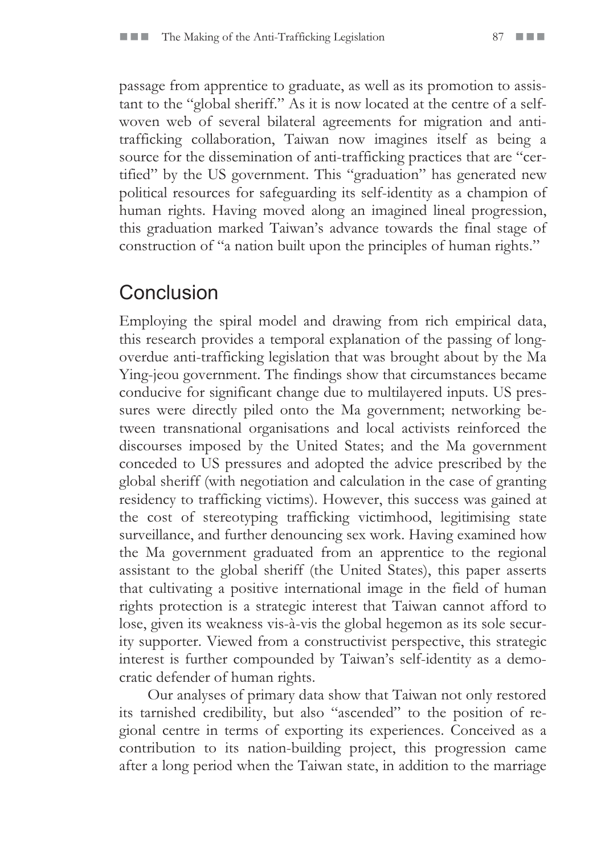passage from apprentice to graduate, as well as its promotion to assistant to the "global sheriff." As it is now located at the centre of a selfwoven web of several bilateral agreements for migration and antitrafficking collaboration, Taiwan now imagines itself as being a source for the dissemination of anti-trafficking practices that are "certified" by the US government. This "graduation" has generated new political resources for safeguarding its self-identity as a champion of human rights. Having moved along an imagined lineal progression, this graduation marked Taiwan's advance towards the final stage of construction of "a nation built upon the principles of human rights."

# Conclusion

Employing the spiral model and drawing from rich empirical data, this research provides a temporal explanation of the passing of longoverdue anti-trafficking legislation that was brought about by the Ma Ying-jeou government. The findings show that circumstances became conducive for significant change due to multilayered inputs. US pressures were directly piled onto the Ma government; networking between transnational organisations and local activists reinforced the discourses imposed by the United States; and the Ma government conceded to US pressures and adopted the advice prescribed by the global sheriff (with negotiation and calculation in the case of granting residency to trafficking victims). However, this success was gained at the cost of stereotyping trafficking victimhood, legitimising state surveillance, and further denouncing sex work. Having examined how the Ma government graduated from an apprentice to the regional assistant to the global sheriff (the United States), this paper asserts that cultivating a positive international image in the field of human rights protection is a strategic interest that Taiwan cannot afford to lose, given its weakness vis-à-vis the global hegemon as its sole security supporter. Viewed from a constructivist perspective, this strategic interest is further compounded by Taiwan's self-identity as a democratic defender of human rights.

Our analyses of primary data show that Taiwan not only restored its tarnished credibility, but also "ascended" to the position of regional centre in terms of exporting its experiences. Conceived as a contribution to its nation-building project, this progression came after a long period when the Taiwan state, in addition to the marriage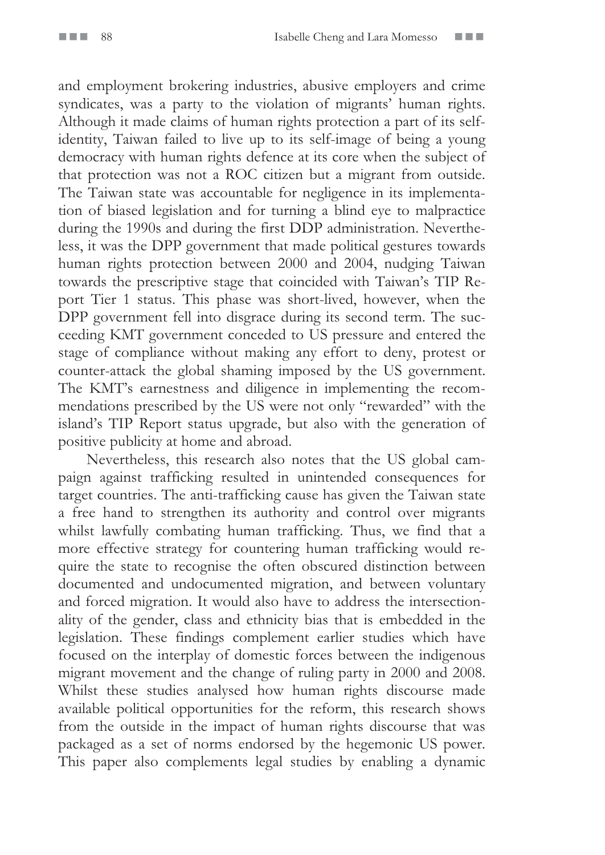and employment brokering industries, abusive employers and crime syndicates, was a party to the violation of migrants' human rights. Although it made claims of human rights protection a part of its selfidentity, Taiwan failed to live up to its self-image of being a young democracy with human rights defence at its core when the subject of that protection was not a ROC citizen but a migrant from outside. The Taiwan state was accountable for negligence in its implementation of biased legislation and for turning a blind eye to malpractice during the 1990s and during the first DDP administration. Nevertheless, it was the DPP government that made political gestures towards human rights protection between 2000 and 2004, nudging Taiwan towards the prescriptive stage that coincided with Taiwan's TIP Report Tier 1 status. This phase was short-lived, however, when the DPP government fell into disgrace during its second term. The succeeding KMT government conceded to US pressure and entered the stage of compliance without making any effort to deny, protest or counter-attack the global shaming imposed by the US government. The KMT's earnestness and diligence in implementing the recommendations prescribed by the US were not only "rewarded" with the island's TIP Report status upgrade, but also with the generation of positive publicity at home and abroad.

Nevertheless, this research also notes that the US global campaign against trafficking resulted in unintended consequences for target countries. The anti-trafficking cause has given the Taiwan state a free hand to strengthen its authority and control over migrants whilst lawfully combating human trafficking. Thus, we find that a more effective strategy for countering human trafficking would require the state to recognise the often obscured distinction between documented and undocumented migration, and between voluntary and forced migration. It would also have to address the intersectionality of the gender, class and ethnicity bias that is embedded in the legislation. These findings complement earlier studies which have focused on the interplay of domestic forces between the indigenous migrant movement and the change of ruling party in 2000 and 2008. Whilst these studies analysed how human rights discourse made available political opportunities for the reform, this research shows from the outside in the impact of human rights discourse that was packaged as a set of norms endorsed by the hegemonic US power. This paper also complements legal studies by enabling a dynamic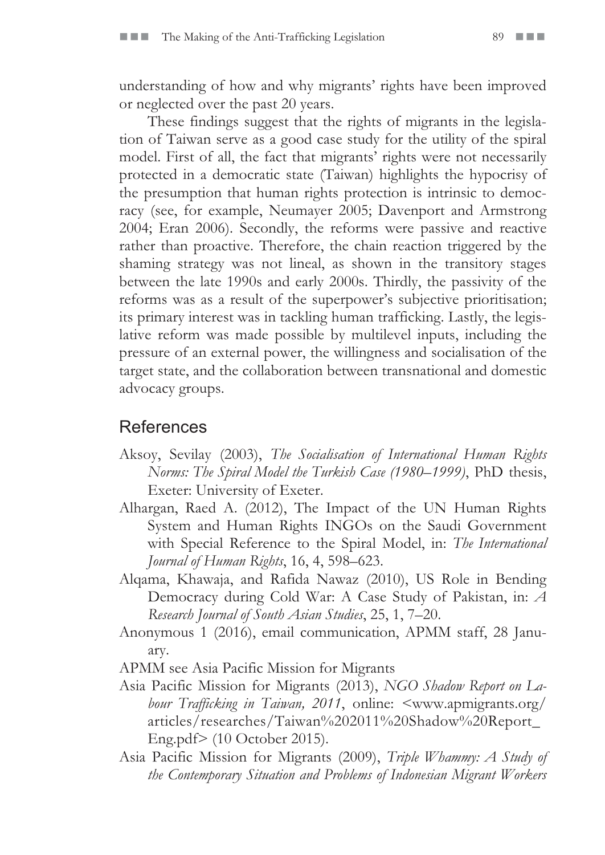understanding of how and why migrants' rights have been improved or neglected over the past 20 years.

These findings suggest that the rights of migrants in the legislation of Taiwan serve as a good case study for the utility of the spiral model. First of all, the fact that migrants' rights were not necessarily protected in a democratic state (Taiwan) highlights the hypocrisy of the presumption that human rights protection is intrinsic to democracy (see, for example, Neumayer 2005; Davenport and Armstrong 2004; Eran 2006). Secondly, the reforms were passive and reactive rather than proactive. Therefore, the chain reaction triggered by the shaming strategy was not lineal, as shown in the transitory stages between the late 1990s and early 2000s. Thirdly, the passivity of the reforms was as a result of the superpower's subjective prioritisation; its primary interest was in tackling human trafficking. Lastly, the legislative reform was made possible by multilevel inputs, including the pressure of an external power, the willingness and socialisation of the target state, and the collaboration between transnational and domestic advocacy groups.

## References

- Aksoy, Sevilay (2003), *The Socialisation of International Human Rights Norms: The Spiral Model the Turkish Case (1980–1999)*, PhD thesis, Exeter: University of Exeter.
- Alhargan, Raed A. (2012), The Impact of the UN Human Rights System and Human Rights INGOs on the Saudi Government with Special Reference to the Spiral Model, in: *The International Journal of Human Rights*, 16, 4, 598–623.
- Alqama, Khawaja, and Rafida Nawaz (2010), US Role in Bending Democracy during Cold War: A Case Study of Pakistan, in: *A Research Journal of South Asian Studies*, 25, 1, 7–20.
- Anonymous 1 (2016), email communication, APMM staff, 28 January.
- APMM see Asia Pacific Mission for Migrants
- Asia Pacific Mission for Migrants (2013), *NGO Shadow Report on Labour Trafficking in Taiwan, 2011*, online: <www.apmigrants.org/ articles/researches/Taiwan%202011%20Shadow%20Report\_ Eng.pdf> (10 October 2015).
- Asia Pacific Mission for Migrants (2009), *Triple Whammy: A Study of the Contemporary Situation and Problems of Indonesian Migrant Workers*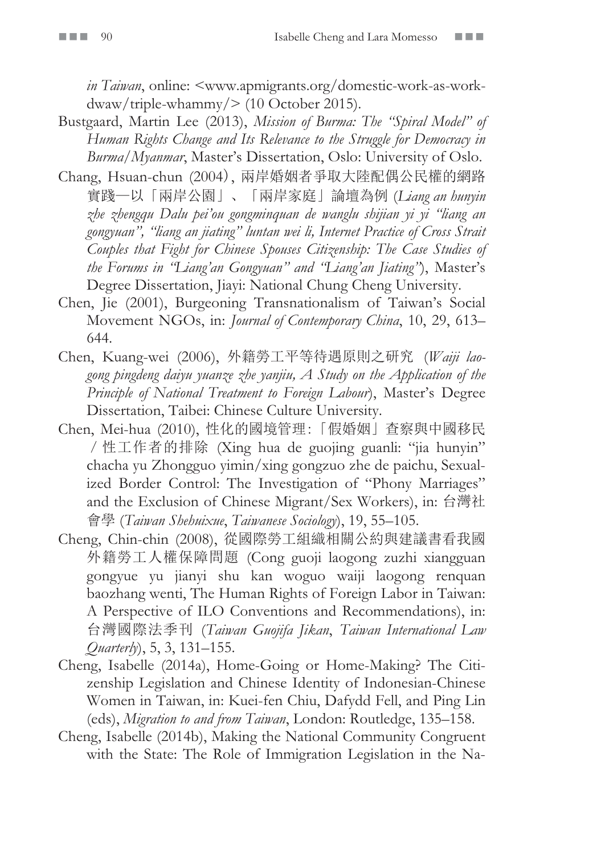*in Taiwan*, online: <www.apmigrants.org/domestic-work-as-workdwaw/triple-whammy/> (10 October 2015).

- Bustgaard, Martin Lee (2013), *Mission of Burma: The "Spiral Model" of Human Rights Change and Its Relevance to the Struggle for Democracy in Burma/Myanmar*, Master's Dissertation, Oslo: University of Oslo.
- Chang, Hsuan-chun (2004), 兩岸婚姻者爭取大陸配偶公民權的網路 實踐一以「兩岸公園」、「兩岸家庭」論壇為例 (Liang an hunyin *zhe zhengqu Dalu pei'ou gongminquan de wanglu shijian yi yi "liang an gongyuan", "liang an jiating" luntan wei li, Internet Practice of Cross Strait Couples that Fight for Chinese Spouses Citizenship: The Case Studies of the Forums in "Liang'an Gongyuan" and "Liang'an Jiating"*), Master's Degree Dissertation, Jiayi: National Chung Cheng University.
- Chen, Jie (2001), Burgeoning Transnationalism of Taiwan's Social Movement NGOs, in: *Journal of Contemporary China*, 10, 29, 613– 644.
- Chen, Kuang-wei (2006), 外籍勞工平等待遇原則之研究 (Waiji lao*gong pingdeng daiyu yuanze zhe yanjiu, A Study on the Application of the Principle of National Treatment to Foreign Labour*), Master's Degree Dissertation, Taibei: Chinese Culture University.
- Chen, Mei-hua (2010), 性化的國境管理:「假婚姻」查察與中國移民 / 性工作者的排除 (Xing hua de guojing guanli: "jia hunyin" chacha yu Zhongguo yimin/xing gongzuo zhe de paichu, Sexualized Border Control: The Investigation of "Phony Marriages" and the Exclusion of Chinese Migrant/Sex Workers), in: 台灣社 ᴳᆨ (*Taiwan Shehuixue*, *Taiwanese Sociology*), 19, 55–105.
- Cheng, Chin-chin (2008), 從國際勞工組織相關公約與建議書看我國 外籍勞工人權保障問題 (Cong guoji laogong zuzhi xiangguan gongyue yu jianyi shu kan woguo waiji laogong renquan baozhang wenti, The Human Rights of Foreign Labor in Taiwan: A Perspective of ILO Conventions and Recommendations), in: 台灣國際法季刊 *(Taiwan Guojifa Jikan, Taiwan International Law Quarterly*), 5, 3, 131–155.
- Cheng, Isabelle (2014a), Home-Going or Home-Making? The Citizenship Legislation and Chinese Identity of Indonesian-Chinese Women in Taiwan, in: Kuei-fen Chiu, Dafydd Fell, and Ping Lin (eds), *Migration to and from Taiwan*, London: Routledge, 135–158.
- Cheng, Isabelle (2014b), Making the National Community Congruent with the State: The Role of Immigration Legislation in the Na-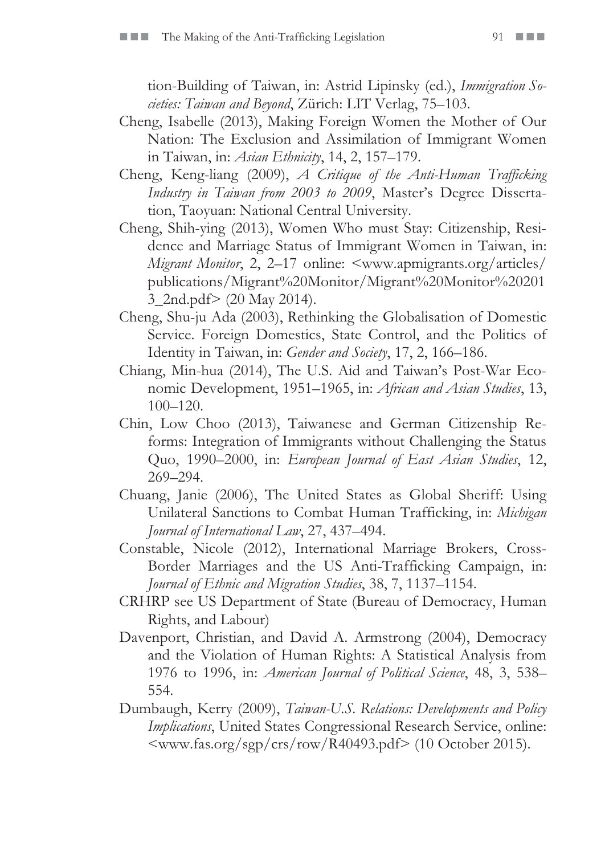tion-Building of Taiwan, in: Astrid Lipinsky (ed.), *Immigration Societies: Taiwan and Beyond*, Zürich: LIT Verlag, 75–103.

- Cheng, Isabelle (2013), Making Foreign Women the Mother of Our Nation: The Exclusion and Assimilation of Immigrant Women in Taiwan, in: *Asian Ethnicity*, 14, 2, 157–179.
- Cheng, Keng-liang (2009), *A Critique of the Anti-Human Trafficking Industry in Taiwan from 2003 to 2009*, Master's Degree Dissertation, Taoyuan: National Central University.
- Cheng, Shih-ying (2013), Women Who must Stay: Citizenship, Residence and Marriage Status of Immigrant Women in Taiwan, in: *Migrant Monitor*, 2, 2–17 online: <www.apmigrants.org/articles/ publications/Migrant%20Monitor/Migrant%20Monitor%20201 3\_2nd.pdf> (20 May 2014).
- Cheng, Shu-ju Ada (2003), Rethinking the Globalisation of Domestic Service. Foreign Domestics, State Control, and the Politics of Identity in Taiwan, in: *Gender and Society*, 17, 2, 166–186.
- Chiang, Min-hua (2014), The U.S. Aid and Taiwan's Post-War Economic Development, 1951–1965, in: *African and Asian Studies*, 13, 100–120.
- Chin, Low Choo (2013), Taiwanese and German Citizenship Reforms: Integration of Immigrants without Challenging the Status Quo, 1990–2000, in: *European Journal of East Asian Studies*, 12, 269–294.
- Chuang, Janie (2006), The United States as Global Sheriff: Using Unilateral Sanctions to Combat Human Trafficking, in: *Michigan Journal of International Law*, 27, 437–494.
- Constable, Nicole (2012), International Marriage Brokers, Cross-Border Marriages and the US Anti-Trafficking Campaign, in: *Journal of Ethnic and Migration Studies*, 38, 7, 1137–1154.
- CRHRP see US Department of State (Bureau of Democracy, Human Rights, and Labour)
- Davenport, Christian, and David A. Armstrong (2004), Democracy and the Violation of Human Rights: A Statistical Analysis from 1976 to 1996, in: *American Journal of Political Science*, 48, 3, 538– 554.
- Dumbaugh, Kerry (2009), *Taiwan-U.S. Relations: Developments and Policy Implications*, United States Congressional Research Service, online: <www.fas.org/sgp/crs/row/R40493.pdf> (10 October 2015).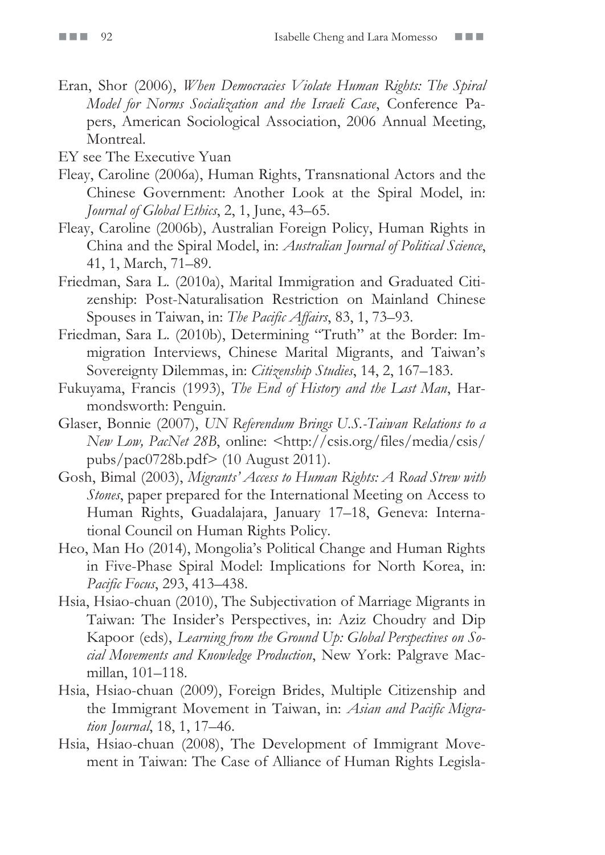- Eran, Shor (2006), *When Democracies Violate Human Rights: The Spiral Model for Norms Socialization and the Israeli Case*, Conference Papers, American Sociological Association, 2006 Annual Meeting, Montreal.
- EY see The Executive Yuan
- Fleay, Caroline (2006a), Human Rights, Transnational Actors and the Chinese Government: Another Look at the Spiral Model, in: *Journal of Global Ethics*, 2, 1, June, 43–65.
- Fleay, Caroline (2006b), Australian Foreign Policy, Human Rights in China and the Spiral Model, in: *Australian Journal of Political Science*, 41, 1, March, 71–89.
- Friedman, Sara L. (2010a), Marital Immigration and Graduated Citizenship: Post-Naturalisation Restriction on Mainland Chinese Spouses in Taiwan, in: *The Pacific Affairs*, 83, 1, 73–93.
- Friedman, Sara L. (2010b), Determining "Truth" at the Border: Immigration Interviews, Chinese Marital Migrants, and Taiwan's Sovereignty Dilemmas, in: *Citizenship Studies*, 14, 2, 167–183.
- Fukuyama, Francis (1993), *The End of History and the Last Man*, Harmondsworth: Penguin.
- Glaser, Bonnie (2007), *UN Referendum Brings U.S.-Taiwan Relations to a New Low, PacNet 28B*, online: <http://csis.org/files/media/csis/ pubs/pac0728b.pdf> (10 August 2011).
- Gosh, Bimal (2003), *Migrants' Access to Human Rights: A Road Strew with Stones*, paper prepared for the International Meeting on Access to Human Rights, Guadalajara, January 17–18, Geneva: International Council on Human Rights Policy.
- Heo, Man Ho (2014), Mongolia's Political Change and Human Rights in Five-Phase Spiral Model: Implications for North Korea, in: *Pacific Focus*, 293, 413–438.
- Hsia, Hsiao-chuan (2010), The Subjectivation of Marriage Migrants in Taiwan: The Insider's Perspectives, in: Aziz Choudry and Dip Kapoor (eds), *Learning from the Ground Up: Global Perspectives on Social Movements and Knowledge Production*, New York: Palgrave Macmillan, 101–118.
- Hsia, Hsiao-chuan (2009), Foreign Brides, Multiple Citizenship and the Immigrant Movement in Taiwan, in: *Asian and Pacific Migration Journal*, 18, 1, 17–46.
- Hsia, Hsiao-chuan (2008), The Development of Immigrant Movement in Taiwan: The Case of Alliance of Human Rights Legisla-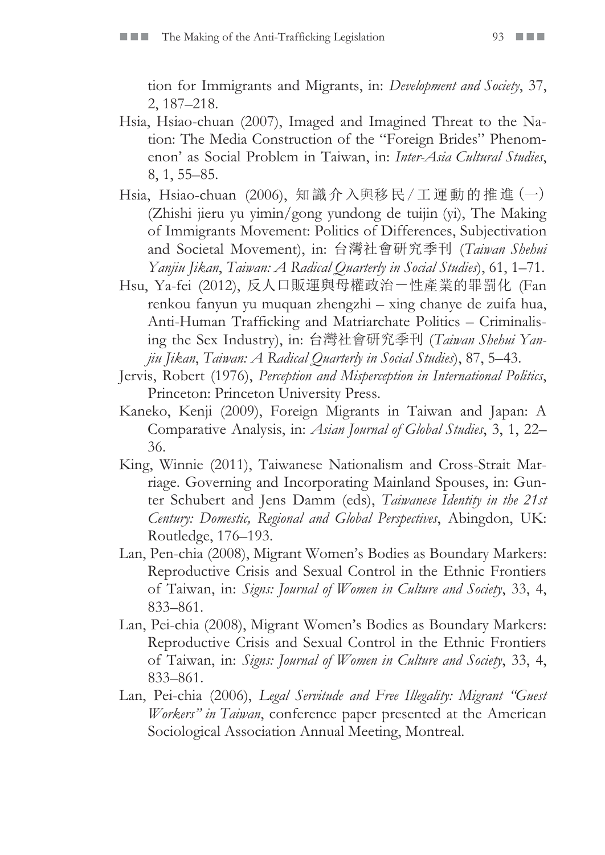tion for Immigrants and Migrants, in: *Development and Society*, 37, 2, 187–218.

- Hsia, Hsiao-chuan (2007), Imaged and Imagined Threat to the Nation: The Media Construction of the "Foreign Brides" Phenomenon' as Social Problem in Taiwan, in: *Inter-Asia Cultural Studies*, 8, 1, 55–85.
- Hsia, Hsiao-chuan (2006), 知識介入與移民 / 工運動的推進 (一) (Zhishi jieru yu yimin/gong yundong de tuijin (yi), The Making of Immigrants Movement: Politics of Differences, Subjectivation and Societal Movement), in: 台灣社會研究季刊 (Taiwan Shehui *Yanjiu Jikan*, *Taiwan: A Radical Quarterly in Social Studies*), 61, 1–71.
- Hsu, Ya-fei (2012), 反人口販運與母權政治一性產業的罪罰化 (Fan renkou fanyun yu muquan zhengzhi – xing chanye de zuifa hua, Anti-Human Trafficking and Matriarchate Politics – Criminalising the Sex Industry), in: 台灣社會研究季刊 (Taiwan Shehui Yan*jiu Jikan*, *Taiwan: A Radical Quarterly in Social Studies*), 87, 5–43.
- Jervis, Robert (1976), *Perception and Misperception in International Politics*, Princeton: Princeton University Press.
- Kaneko, Kenji (2009), Foreign Migrants in Taiwan and Japan: A Comparative Analysis, in: *Asian Journal of Global Studies*, 3, 1, 22– 36.
- King, Winnie (2011), Taiwanese Nationalism and Cross-Strait Marriage. Governing and Incorporating Mainland Spouses, in: Gunter Schubert and Jens Damm (eds), *Taiwanese Identity in the 21st Century: Domestic, Regional and Global Perspectives*, Abingdon, UK: Routledge, 176–193.
- Lan, Pen-chia (2008), Migrant Women's Bodies as Boundary Markers: Reproductive Crisis and Sexual Control in the Ethnic Frontiers of Taiwan, in: *Signs: Journal of Women in Culture and Society*, 33, 4, 833–861.
- Lan, Pei-chia (2008), Migrant Women's Bodies as Boundary Markers: Reproductive Crisis and Sexual Control in the Ethnic Frontiers of Taiwan, in: *Signs: Journal of Women in Culture and Society*, 33, 4, 833–861.
- Lan, Pei-chia (2006), *Legal Servitude and Free Illegality: Migrant "Guest Workers" in Taiwan*, conference paper presented at the American Sociological Association Annual Meeting, Montreal.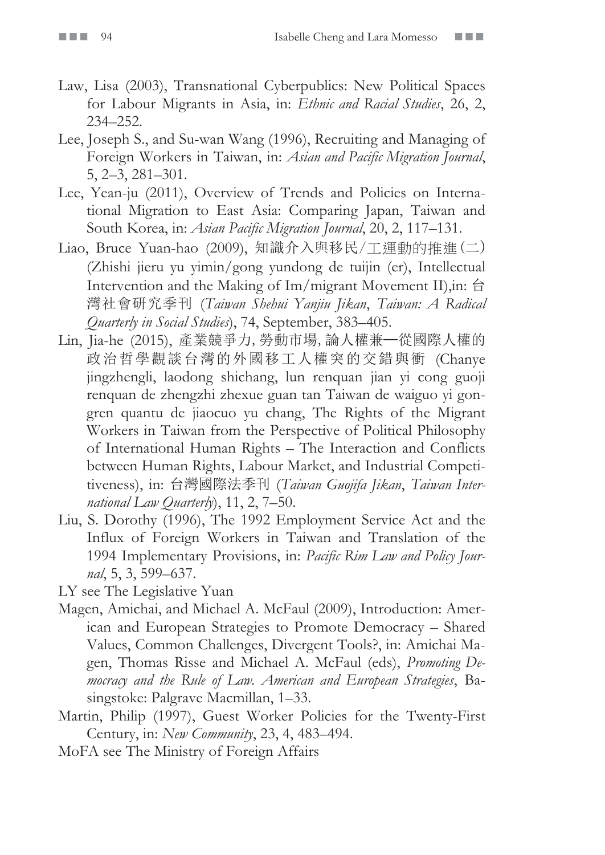- ---
- Law, Lisa (2003), Transnational Cyberpublics: New Political Spaces for Labour Migrants in Asia, in: *Ethnic and Racial Studies*, 26, 2, 234–252.
- Lee, Joseph S., and Su-wan Wang (1996), Recruiting and Managing of Foreign Workers in Taiwan, in: *Asian and Pacific Migration Journal*, 5, 2–3, 281–301.
- Lee, Yean-ju (2011), Overview of Trends and Policies on International Migration to East Asia: Comparing Japan, Taiwan and South Korea, in: *Asian Pacific Migration Journal*, 20, 2, 117–131.
- Liao, Bruce Yuan-hao (2009), 知識介入與移民/工運動的推進(二) (Zhishi jieru yu yimin/gong yundong de tuijin (er), Intellectual Intervention and the Making of Im/migrant Movement II),in: 台 灣社會研究季刊 (Taiwan Shehui Yanjiu Jikan, Taiwan: A Radical *Quarterly in Social Studies*), 74, September, 383–405.
- Lin, Jia-he (2015), 產業競爭力, 勞動市場, 論人權兼–從國際人權的 政治哲學觀談台灣的外國移工人權突的交錯與衝 (Chanve jingzhengli, laodong shichang, lun renquan jian yi cong guoji renquan de zhengzhi zhexue guan tan Taiwan de waiguo yi gongren quantu de jiaocuo yu chang, The Rights of the Migrant Workers in Taiwan from the Perspective of Political Philosophy of International Human Rights – The Interaction and Conflicts between Human Rights, Labour Market, and Industrial Competitiveness), in: 台灣國際法季刊 (Taiwan Guojifa Jikan, Taiwan Inter*national Law Quarterly*), 11, 2, 7–50.
- Liu, S. Dorothy (1996), The 1992 Employment Service Act and the Influx of Foreign Workers in Taiwan and Translation of the 1994 Implementary Provisions, in: *Pacific Rim Law and Policy Journal*, 5, 3, 599–637.

LY see The Legislative Yuan

- Magen, Amichai, and Michael A. McFaul (2009), Introduction: American and European Strategies to Promote Democracy – Shared Values, Common Challenges, Divergent Tools?, in: Amichai Magen, Thomas Risse and Michael A. McFaul (eds), *Promoting Democracy and the Rule of Law. American and European Strategies*, Basingstoke: Palgrave Macmillan, 1–33.
- Martin, Philip (1997), Guest Worker Policies for the Twenty-First Century, in: *New Community*, 23, 4, 483–494.
- MoFA see The Ministry of Foreign Affairs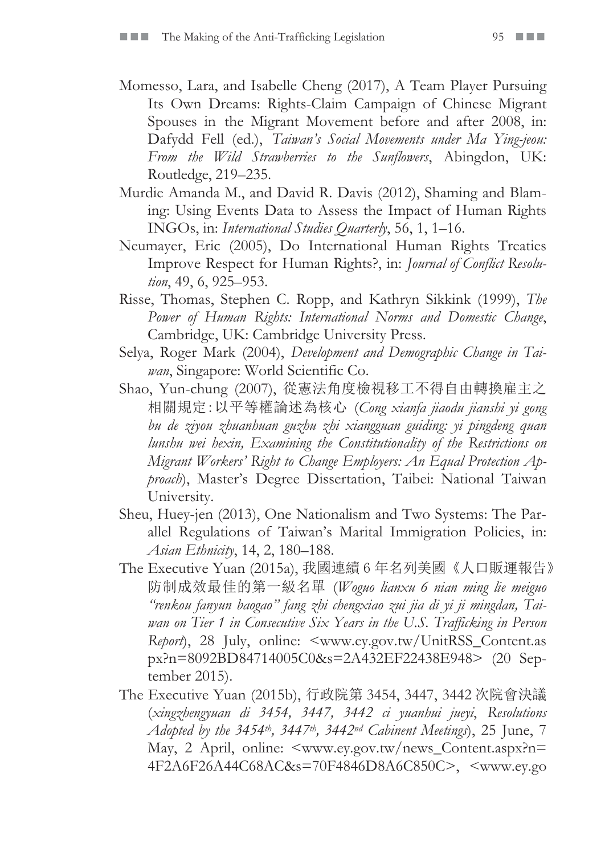- Momesso, Lara, and Isabelle Cheng (2017), A Team Player Pursuing Its Own Dreams: Rights-Claim Campaign of Chinese Migrant Spouses in the Migrant Movement before and after 2008, in: Dafydd Fell (ed.), *Taiwan's Social Movements under Ma Ying-jeou: From the Wild Strawberries to the Sunflowers*, Abingdon, UK: Routledge, 219–235.
- Murdie Amanda M., and David R. Davis (2012), Shaming and Blaming: Using Events Data to Assess the Impact of Human Rights INGOs, in: *International Studies Quarterly*, 56, 1, 1–16.
- Neumayer, Eric (2005), Do International Human Rights Treaties Improve Respect for Human Rights?, in: *Journal of Conflict Resolution*, 49, 6, 925–953.
- Risse, Thomas, Stephen C. Ropp, and Kathryn Sikkink (1999), *The Power of Human Rights: International Norms and Domestic Change*, Cambridge, UK: Cambridge University Press.
- Selya, Roger Mark (2004), *Development and Demographic Change in Taiwan*, Singapore: World Scientific Co.
- Shao, Yun-chung (2007), 從憲法角度檢視移工不得自由轉換雇主之 䰌㾿ᇊԕᒣㅹ℺䄆䘠⛪Ṩᗳ (*Cong xianfa jiaodu jianshi yi gong bu de ziyou zhuanhuan guzhu zhi xiangguan guiding: yi pingdeng quan lunshu wei hexin, Examining the Constitutionality of the Restrictions on Migrant Workers' Right to Change Employers: An Equal Protection Approach*), Master's Degree Dissertation, Taibei: National Taiwan University.
- Sheu, Huey-jen (2013), One Nationalism and Two Systems: The Parallel Regulations of Taiwan's Marital Immigration Policies, in: *Asian Ethnicity*, 14, 2, 180–188.
- The Executive Yuan (2015a), 我國連續 6 年名列美國《人口販運報告》 䱢ࡦᡀ᭸ᴰ֣Ⲵㅜа㍊ (*Woguo lianxu 6 nian ming lie meiguo "renkou fanyun baogao" fang zhi chengxiao zui jia di yi ji mingdan, Taiwan on Tier 1 in Consecutive Six Years in the U.S. Trafficking in Person Report*), 28 July, online: <www.ey.gov.tw/UnitRSS\_Content.as px?n=8092BD84714005C0&s=2A432EF22438E948> (20 September 2015).
- The Executive Yuan (2015b), 行政院第 3454, 3447, 3442 次院會決議 (*xingzhengyuan di 3454, 3447, 3442 ci yuanhui jueyi*, *Resolutions Adopted by the 3454th, 3447th, 3442nd Cabinent Meetings*), 25 June, 7 May, 2 April, online: <www.ey.gov.tw/news\_Content.aspx?n= 4F2A6F26A44C68AC&s=70F4846D8A6C850C>, <www.ey.go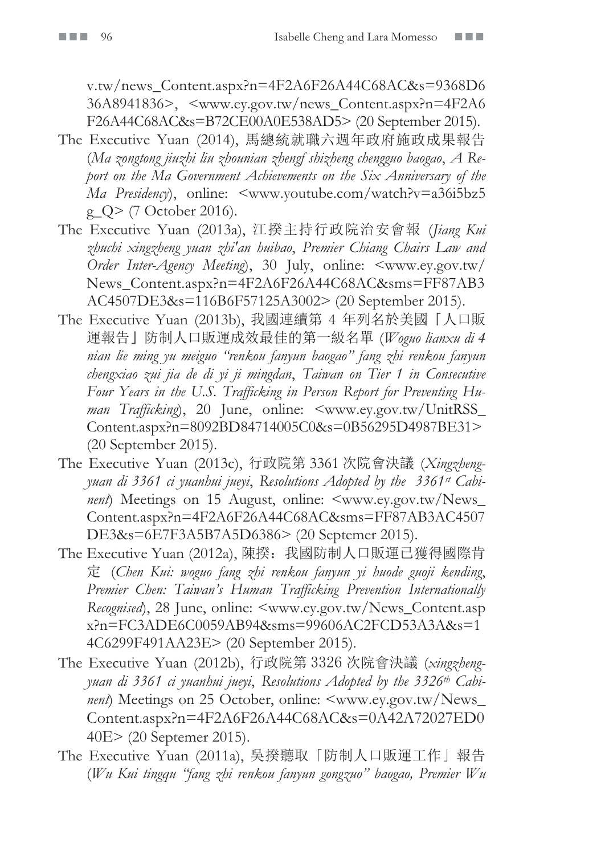v.tw/news\_Content.aspx?n=4F2A6F26A44C68AC&s=9368D6 36A8941836>, <www.ey.gov.tw/news\_Content.aspx?n=4F2A6 F26A44C68AC&s=B72CE00A0E538AD5> (20 September 2015).

- The Executive Yuan (2014), 馬總統就職六週年政府施政成果報告 (*Ma zongtong jiuzhi liu zhounian zhengf shizheng chengguo baogao*, *A Report on the Ma Government Achievements on the Six Anniversary of the Ma Presidency*), online: <www.youtube.com/watch?v=a36i5bz5 g\_Q> (7 October 2016).
- The Executive Yuan (2013a), 江揆主持行政院治安會報 (*Jiang Kui zhuchi xingzheng yuan zhi'an huibao*, *Premier Chiang Chairs Law and Order Inter-Agency Meeting*), 30 July, online: <www.ey.gov.tw/ News\_Content.aspx?n=4F2A6F26A44C68AC&sms=FF87AB3 AC4507DE3&s=116B6F57125A3002> (20 September 2015).
- The Executive Yuan (2013b), 我國連續第 4 年列名於美國「人口販 運報告」防制人口販運成效最佳的第一級名單 (Woguo lianxu di 4 *nian lie ming yu meiguo "renkou fanyun baogao" fang zhi renkou fanyun chengxiao zui jia de di yi ji mingdan*, *Taiwan on Tier 1 in Consecutive Four Years in the U.S. Trafficking in Person Report for Preventing Human Trafficking*), 20 June, online: <www.ey.gov.tw/UnitRSS\_ Content.aspx?n=8092BD84714005C0&s=0B56295D4987BE31> (20 September 2015).
- The Executive Yuan (2013c), 行政院第 3361 次院會決議 (*Xingzhengyuan di 3361 ci yuanhui jueyi*, *Resolutions Adopted by the 3361st Cabinent*) Meetings on 15 August, online:  $\langle$ www.ey.gov.tw/News Content.aspx?n=4F2A6F26A44C68AC&sms=FF87AB3AC4507 DE3&s=6E7F3A5B7A5D6386> (20 Septemer 2015).
- The Executive Yuan (2012a), 陳揆: 我國防制人口販運已獲得國際肯 ᇊ (*Chen Kui: woguo fang zhi renkou fanyun yi huode guoji kending*, *Premier Chen: Taiwan's Human Trafficking Prevention Internationally Recognised*), 28 June, online: <www.ey.gov.tw/News\_Content.asp x?n=FC3ADE6C0059AB94&sms=99606AC2FCD53A3A&s=1 4C6299F491AA23E> (20 September 2015).
- The Executive Yuan (2012b), 行政院第 3326 次院會決議 (xingzheng*yuan di 3361 ci yuanhui jueyi*, *Resolutions Adopted by the 3326th Cabinent*) Meetings on 25 October, online: <www.ey.gov.tw/News\_ Content.aspx?n=4F2A6F26A44C68AC&s=0A42A72027ED0 40E> (20 Septemer 2015).
- The Executive Yuan (2011a), 吳揆聽取「防制人口販運工作」報告 (*Wu Kui tingqu "fang zhi renkou fanyun gongzuo" baogao, Premier Wu*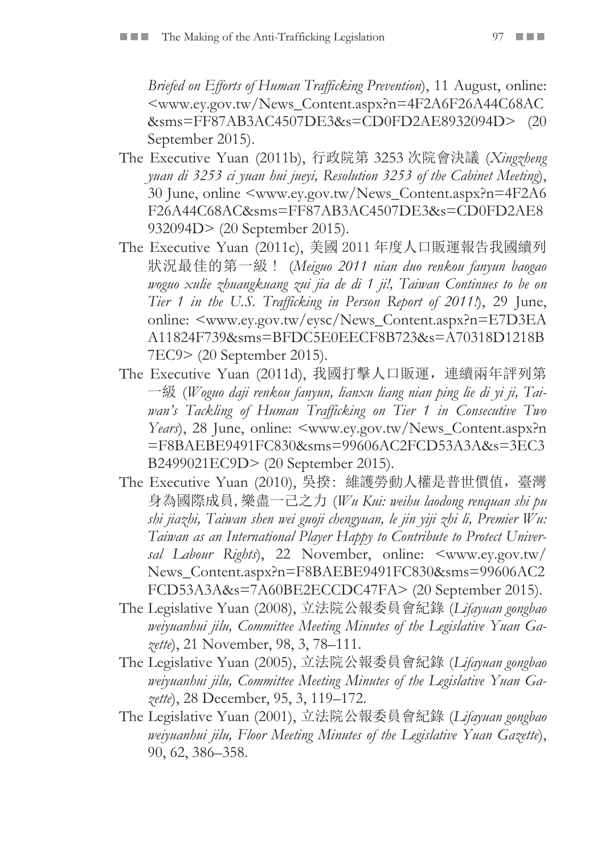*Briefed on Efforts of Human Trafficking Prevention*), 11 August, online: <www.ey.gov.tw/News\_Content.aspx?n=4F2A6F26A44C68AC &sms=FF87AB3AC4507DE3&s=CD0FD2AE8932094D> (20 September 2015).

- The Executive Yuan (2011b), 行政院第 3253 次院會決議 (*Xingzheng yuan di 3253 ci yuan hui jueyi, Resolution 3253 of the Cabinet Meeting*), 30 June, online <www.ey.gov.tw/News\_Content.aspx?n=4F2A6 F26A44C68AC&sms=FF87AB3AC4507DE3&s=CD0FD2AE8 932094D> (20 September 2015).
- The Executive Yuan (2011c), 美國 2011年度人口販運報告我國續列 狀況最佳的第一級! (Meiguo 2011 nian duo renkou fanyun baogao *woguo xulie zhuangkuang zui jia de di 1 ji!, Taiwan Continues to be on Tier 1 in the U.S. Trafficking in Person Report of 2011!*), 29 June, online: <www.ey.gov.tw/eysc/News\_Content.aspx?n=E7D3EA A11824F739&sms=BFDC5E0EECF8B723&s=A70318D1218B 7EC9> (20 September 2015).
- The Executive Yuan (2011d), 我國打擊人口販運, 連續兩年評列第 一級 (Woguo daji renkou fanyun, lianxu liang nian ping lie di yi ji, Tai*wan's Tackling of Human Trafficking on Tier 1 in Consecutive Two Years*), 28 June, online: <www.ey.gov.tw/News\_Content.aspx?n =F8BAEBE9491FC830&sms=99606AC2FCD53A3A&s=3EC3 B2499021EC9D> (20 September 2015).
- The Executive Yuan (2010), 吳揆: 維護勞動人權是普世價值, 臺灣 䓛⛪഻䳋ᡀ′ⴑаᐡѻ࣋) *Wu Kui: weihu laodong renquan shi pu shi jiazhi, Taiwan shen wei guoji chengyuan, le jin yiji zhi li, Premier Wu: Taiwan as an International Player Happy to Contribute to Protect Universal Labour Rights*), 22 November, online: <www.ey.gov.tw/ News\_Content.aspx?n=F8BAEBE9491FC830&sms=99606AC2 FCD53A3A&s=7A60BE2ECCDC47FA> (20 September 2015).
- The Legislative Yuan (2008), 立法院公報委員會紀錄 (Lifayuan gongbao *weiyuanhui jilu, Committee Meeting Minutes of the Legislative Yuan Gazette*), 21 November, 98, 3, 78–111.
- The Legislative Yuan (2005), 立法院公報委員會紀錄 (Lifayuan gongbao *weiyuanhui jilu, Committee Meeting Minutes of the Legislative Yuan Gazette*), 28 December, 95, 3, 119–172.
- The Legislative Yuan (2001), 立法院公報委員會紀錄 (Lifayuan gongbao *weiyuanhui jilu, Floor Meeting Minutes of the Legislative Yuan Gazette*), 90, 62, 386–358.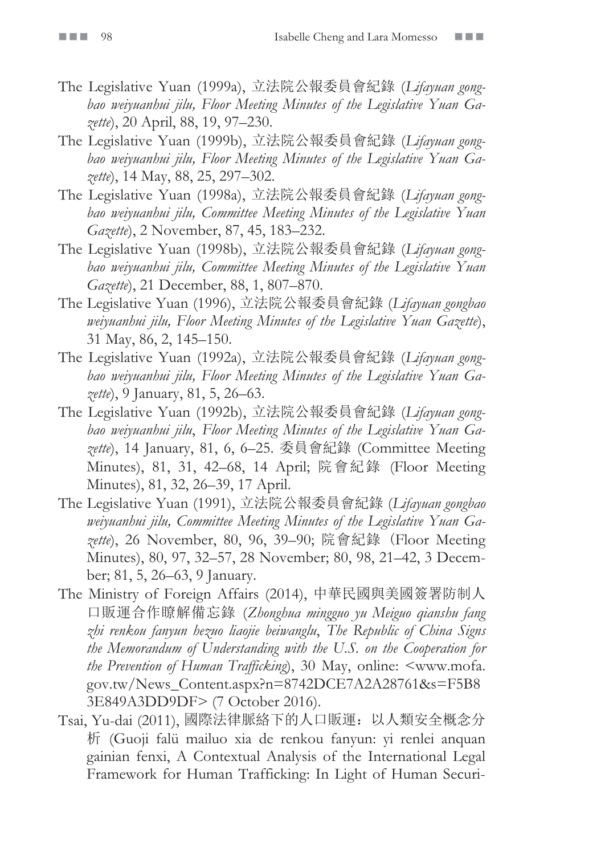- The Legislative Yuan (1999a), 立法院公報委員會紀錄 (Lifayuan gong*bao weiyuanhui jilu, Floor Meeting Minutes of the Legislative Yuan Gazette*), 20 April, 88, 19, 97–230.
- The Legislative Yuan (1999b), 立法院公報委員會紀錄 (Lifayuan gong*bao weiyuanhui jilu, Floor Meeting Minutes of the Legislative Yuan Gazette*), 14 May, 88, 25, 297–302.
- The Legislative Yuan (1998a), 立法院公報委員會紀錄 (Lifayuan gong*bao weiyuanhui jilu, Committee Meeting Minutes of the Legislative Yuan Gazette*), 2 November, 87, 45, 183–232.
- The Legislative Yuan (1998b), 立法院公報委員會紀錄 (Lifayuan gong*bao weiyuanhui jilu, Committee Meeting Minutes of the Legislative Yuan Gazette*), 21 December, 88, 1, 807–870.
- The Legislative Yuan (1996), 立法院公報委員會紀錄 (Lifayuan gongbao *weiyuanhui jilu, Floor Meeting Minutes of the Legislative Yuan Gazette*), 31 May, 86, 2, 145–150.
- The Legislative Yuan (1992a), 立法院公報委員會紀錄 (Lifayuan gong*bao weiyuanhui jilu, Floor Meeting Minutes of the Legislative Yuan Gazette*), 9 January, 81, 5, 26–63.
- The Legislative Yuan (1992b), 立法院公報委員會紀錄 (Lifayuan gong*bao weiyuanhui jilu*, *Floor Meeting Minutes of the Legislative Yuan Ga*zette), 14 January, 81, 6, 6–25. 委員會紀錄 (Committee Meeting Minutes), 81, 31, 42-68, 14 April; 院會紀錄 (Floor Meeting Minutes), 81, 32, 26–39, 17 April.
- The Legislative Yuan (1991), 立法院公報委員會紀錄 (Lifayuan gongbao *weiyuanhui jilu, Committee Meeting Minutes of the Legislative Yuan Gazette*), 26 November, 80, 96, 39–90; 䲒ᴳ㌰䤴 Floor Meeting Minutes), 80, 97, 32–57, 28 November; 80, 98, 21–42, 3 December; 81, 5, 26–63, 9 January.
- The Ministry of Foreign Affairs (2014), 中華民國與美國簽署防制人 ਓ䋙䙻ਸⷝ䀓ۉᘈ䤴 (*Zhonghua mingguo yu Meiguo qianshu fang zhi renkou fanyun hezuo liaojie beiwanglu*, *The Republic of China Signs the Memorandum of Understanding with the U.S. on the Cooperation for the Prevention of Human Trafficking*), 30 May, online: <www.mofa. gov.tw/News\_Content.aspx?n=8742DCE7A2A28761&s=F5B8 3E849A3DD9DF> (7 October 2016).
- Tsai, Yu-dai (2011), 國際法律脈絡下的人口販運: 以人類安全概念分 ᷀ (Guoji falü mailuo xia de renkou fanyun: yi renlei anquan gainian fenxi, A Contextual Analysis of the International Legal Framework for Human Trafficking: In Light of Human Securi-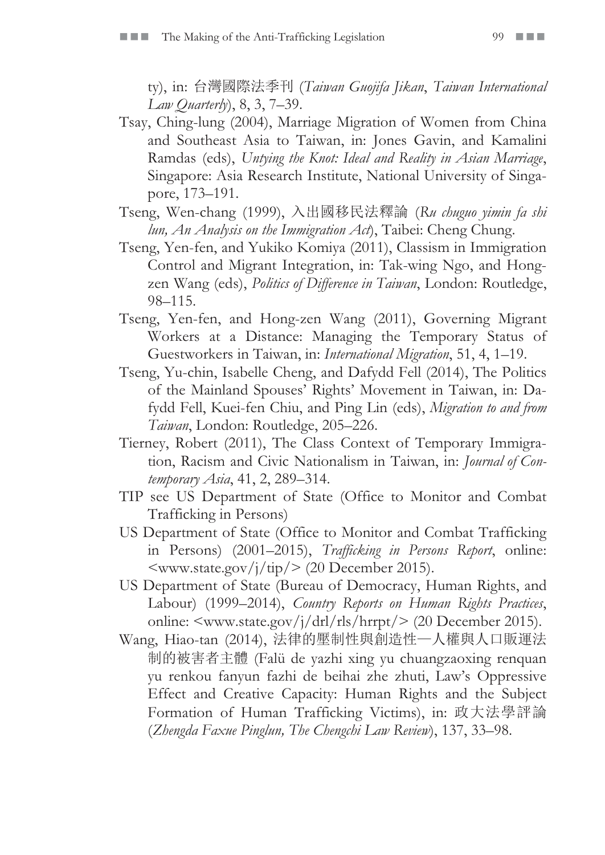ty), in: ਠ⚓഻䳋⌅ᆓ࠺) *Taiwan Guojifa Jikan*, *Taiwan International Law Quarterly*), 8, 3, 7–39.

- Tsay, Ching-lung (2004), Marriage Migration of Women from China and Southeast Asia to Taiwan, in: Jones Gavin, and Kamalini Ramdas (eds), *Untying the Knot: Ideal and Reality in Asian Marriage*, Singapore: Asia Research Institute, National University of Singapore, 173–191.
- Tseng, Wen-chang (1999), 入出國移民法釋論 (*Ru chuguo yimin fa shi lun, An Analysis on the Immigration Act*), Taibei: Cheng Chung.
- Tseng, Yen-fen, and Yukiko Komiya (2011), Classism in Immigration Control and Migrant Integration, in: Tak-wing Ngo, and Hongzen Wang (eds), *Politics of Difference in Taiwan*, London: Routledge, 98–115.
- Tseng, Yen-fen, and Hong-zen Wang (2011), Governing Migrant Workers at a Distance: Managing the Temporary Status of Guestworkers in Taiwan, in: *International Migration*, 51, 4, 1–19.
- Tseng, Yu-chin, Isabelle Cheng, and Dafydd Fell (2014), The Politics of the Mainland Spouses' Rights' Movement in Taiwan, in: Dafydd Fell, Kuei-fen Chiu, and Ping Lin (eds), *Migration to and from Taiwan*, London: Routledge, 205–226.
- Tierney, Robert (2011), The Class Context of Temporary Immigration, Racism and Civic Nationalism in Taiwan, in: *Journal of Contemporary Asia*, 41, 2, 289–314.
- TIP see US Department of State (Office to Monitor and Combat Trafficking in Persons)
- US Department of State (Office to Monitor and Combat Trafficking in Persons) (2001–2015), *Trafficking in Persons Report*, online:  $\langle$ www.state.gov/j/tip/> (20 December 2015).
- US Department of State (Bureau of Democracy, Human Rights, and Labour) (1999–2014), *Country Reports on Human Rights Practices*, online: <www.state.gov/j/drl/rls/hrrpt/> (20 December 2015).
- Wang, Hiao-tan (2014), 法律的壓制性與創造性一人權與人口販運法 制的被害者主體 (Falü de yazhi xing yu chuangzaoxing renquan yu renkou fanyun fazhi de beihai zhe zhuti, Law's Oppressive Effect and Creative Capacity: Human Rights and the Subject Formation of Human Trafficking Victims), in: 政大法學評論 (*Zhengda Faxue Pinglun, The Chengchi Law Review*), 137, 33–98.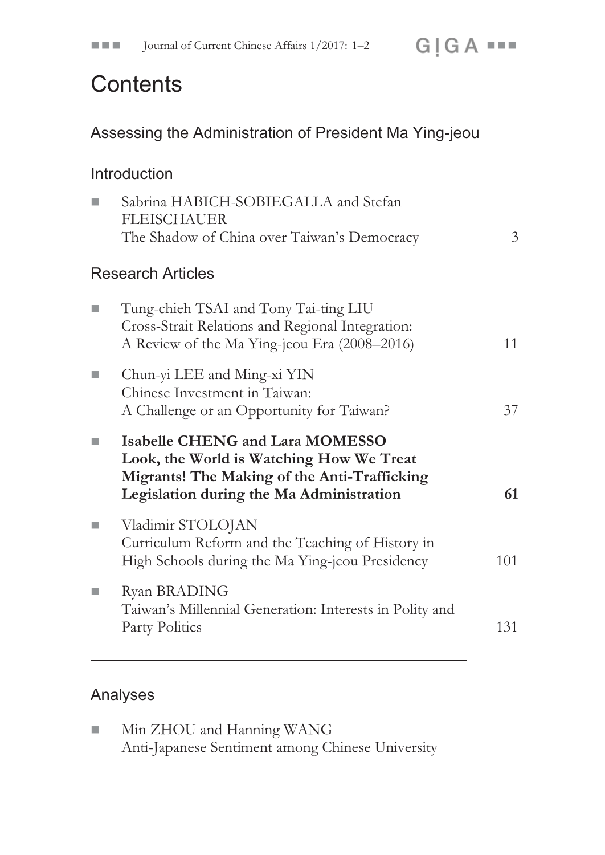# **Contents**

#### Assessing the Administration of President Ma Ying-jeou

## Introduction

|   | Sabrina HABICH-SOBIEGALLA and Stefan<br><b>FLEISCHAUER</b><br>The Shadow of China over Taiwan's Democracy                                                               | 3   |
|---|-------------------------------------------------------------------------------------------------------------------------------------------------------------------------|-----|
|   | <b>Research Articles</b>                                                                                                                                                |     |
|   | Tung-chieh TSAI and Tony Tai-ting LIU<br>Cross-Strait Relations and Regional Integration:<br>A Review of the Ma Ying-jeou Era (2008-2016)                               | 11  |
| ٠ | Chun-yi LEE and Ming-xi YIN<br>Chinese Investment in Taiwan:<br>A Challenge or an Opportunity for Taiwan?                                                               | 37  |
| ш | Isabelle CHENG and Lara MOMESSO<br>Look, the World is Watching How We Treat<br>Migrants! The Making of the Anti-Trafficking<br>Legislation during the Ma Administration | 61  |
|   | Vladimir STOLOJAN<br>Curriculum Reform and the Teaching of History in<br>High Schools during the Ma Ying-jeou Presidency                                                | 101 |
|   | Ryan BRADING<br>Taiwan's Millennial Generation: Interests in Polity and<br>Party Politics                                                                               | 131 |
|   |                                                                                                                                                                         |     |

#### Analyses

- Min ZHOU and Hanning WANG Anti-Japanese Sentiment among Chinese University